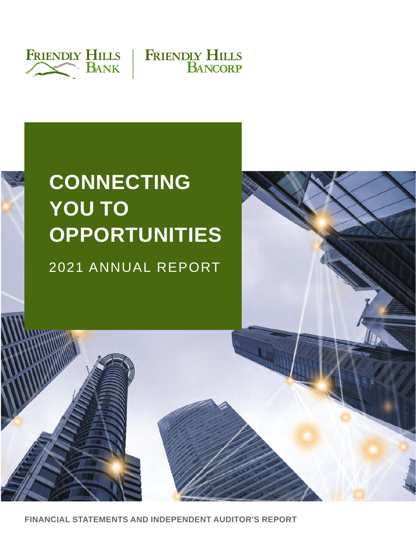



# **CONNECTING YOU TO OPPORTUNITIES**

2021 ANNUAL REPORT



**FINANCIAL STATEMENTS AND INDEPENDENT AUDITOR'S REPORT**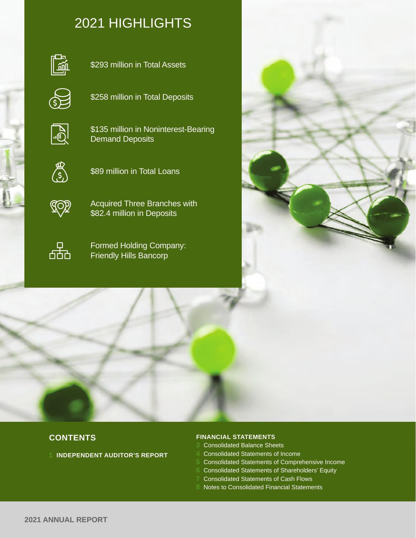# 2021 HIGHLIGHTS



\$293 million in Total Assets



\$258 million in Total Deposits



\$135 million in Noninterest-Bearing Demand Deposits



\$89 million in Total Loans



Acquired Three Branches with \$82.4 million in Deposits



Formed Holding Company: Friendly Hills Bancorp



# **CONTENTS**

**1 INDEPENDENT AUDITOR'S REPORT**

#### **FINANCIAL STATEMENTS**

- **3** Consolidated Balance Sheets
- **4** Consolidated Statements of Income
- **5** Consolidated Statements of Comprehensive Income
- **6** Consolidated Statements of Shareholders' Equity
- **7** Consolidated Statements of Cash Flows
- **8** Notes to Consolidated Financial Statements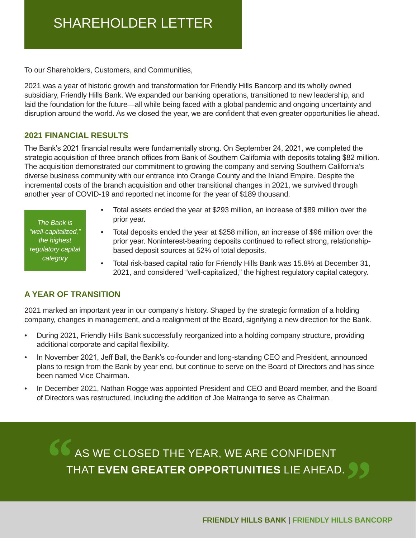# SHAREHOLDER LETTER

To our Shareholders, Customers, and Communities,

2021 was a year of historic growth and transformation for Friendly Hills Bancorp and its wholly owned subsidiary, Friendly Hills Bank. We expanded our banking operations, transitioned to new leadership, and laid the foundation for the future—all while being faced with a global pandemic and ongoing uncertainty and disruption around the world. As we closed the year, we are confident that even greater opportunities lie ahead.

### **2021 FINANCIAL RESULTS**

The Bank's 2021 financial results were fundamentally strong. On September 24, 2021, we completed the strategic acquisition of three branch offices from Bank of Southern California with deposits totaling \$82 million. The acquisition demonstrated our commitment to growing the company and serving Southern California's diverse business community with our entrance into Orange County and the Inland Empire. Despite the incremental costs of the branch acquisition and other transitional changes in 2021, we survived through another year of COVID-19 and reported net income for the year of \$189 thousand.

*The Bank is "well-capitalized," the highest regulatory capital category*

- Total assets ended the year at \$293 million, an increase of \$89 million over the prior year.
- Total deposits ended the year at \$258 million, an increase of \$96 million over the prior year. Noninterest-bearing deposits continued to reflect strong, relationshipbased deposit sources at 52% of total deposits.
- Total risk-based capital ratio for Friendly Hills Bank was 15.8% at December 31, 2021, and considered "well-capitalized," the highest regulatory capital category.

# **A YEAR OF TRANSITION**

2021 marked an important year in our company's history. Shaped by the strategic formation of a holding company, changes in management, and a realignment of the Board, signifying a new direction for the Bank.

- During 2021, Friendly Hills Bank successfully reorganized into a holding company structure, providing additional corporate and capital flexibility.
- In November 2021, Jeff Ball, the Bank's co-founder and long-standing CEO and President, announced plans to resign from the Bank by year end, but continue to serve on the Board of Directors and has since been named Vice Chairman.
- In December 2021, Nathan Rogge was appointed President and CEO and Board member, and the Board of Directors was restructured, including the addition of Joe Matranga to serve as Chairman.

AS WE CLOSED THE YEAR, WE ARE CONFIDENT THAT **EVEN GREATER OPPORTUNITIES** LIE AHEAD. **" "**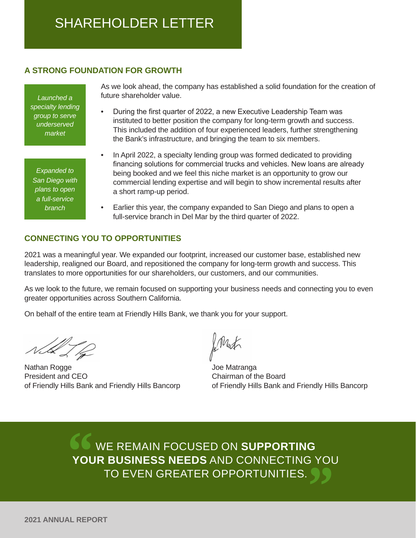# SHAREHOLDER LETTER

# **A STRONG FOUNDATION FOR GROWTH**

*Launched a specialty lending group to serve underserved market*

*Expanded to San Diego with plans to open a full-service branch*

As we look ahead, the company has established a solid foundation for the creation of future shareholder value.

- During the first quarter of 2022, a new Executive Leadership Team was instituted to better position the company for long-term growth and success. This included the addition of four experienced leaders, further strengthening the Bank's infrastructure, and bringing the team to six members.
- In April 2022, a specialty lending group was formed dedicated to providing financing solutions for commercial trucks and vehicles. New loans are already being booked and we feel this niche market is an opportunity to grow our commercial lending expertise and will begin to show incremental results after a short ramp-up period.
- Earlier this year, the company expanded to San Diego and plans to open a full-service branch in Del Mar by the third quarter of 2022.

### **CONNECTING YOU TO OPPORTUNITIES**

2021 was a meaningful year. We expanded our footprint, increased our customer base, established new leadership, realigned our Board, and repositioned the company for long-term growth and success. This translates to more opportunities for our shareholders, our customers, and our communities.

As we look to the future, we remain focused on supporting your business needs and connecting you to even greater opportunities across Southern California.

On behalf of the entire team at Friendly Hills Bank, we thank you for your support.

Nathan Rogge President and CEO of Friendly Hills Bank and Friendly Hills Bancorp

Mat

Joe Matranga Chairman of the Board of Friendly Hills Bank and Friendly Hills Bancorp

WE REMAIN FOCUSED ON **SUPPORTING YOUR BUSINESS NEEDS** AND CONNECTING YOU TO EVEN GREATER OPPORTUNITIES. **66**<br>YOU **"**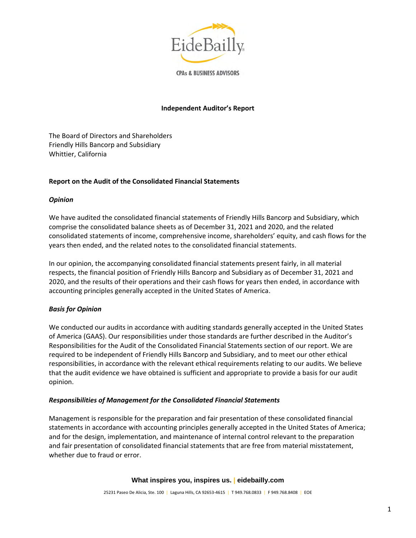

**CPAs & BUSINESS ADVISORS** 

#### **Independent Auditor's Report**

The Board of Directors and Shareholders Friendly Hills Bancorp and Subsidiary Whittier, California

#### **Report on the Audit of the Consolidated Financial Statements**

#### *Opinion*

We have audited the consolidated financial statements of Friendly Hills Bancorp and Subsidiary, which comprise the consolidated balance sheets as of December 31, 2021 and 2020, and the related consolidated statements of income, comprehensive income, shareholders' equity, and cash flows for the years then ended, and the related notes to the consolidated financial statements.

In our opinion, the accompanying consolidated financial statements present fairly, in all material respects, the financial position of Friendly Hills Bancorp and Subsidiary as of December 31, 2021 and 2020, and the results of their operations and their cash flows for years then ended, in accordance with accounting principles generally accepted in the United States of America.

#### *Basis for Opinion*

We conducted our audits in accordance with auditing standards generally accepted in the United States of America (GAAS). Our responsibilities under those standards are further described in the Auditor's Responsibilities for the Audit of the Consolidated Financial Statements section of our report. We are required to be independent of Friendly Hills Bancorp and Subsidiary, and to meet our other ethical responsibilities, in accordance with the relevant ethical requirements relating to our audits. We believe that the audit evidence we have obtained is sufficient and appropriate to provide a basis for our audit opinion.

#### *Responsibilities of Management for the Consolidated Financial Statements*

Management is responsible for the preparation and fair presentation of these consolidated financial statements in accordance with accounting principles generally accepted in the United States of America; and for the design, implementation, and maintenance of internal control relevant to the preparation and fair presentation of consolidated financial statements that are free from material misstatement, whether due to fraud or error.

#### **What inspires you, inspires us. | eidebailly.com**

25231 Paseo De Alicia, Ste. 100 | Laguna Hills, CA 92653-4615 | T 949.768.0833 | F 949.768.8408 | EOE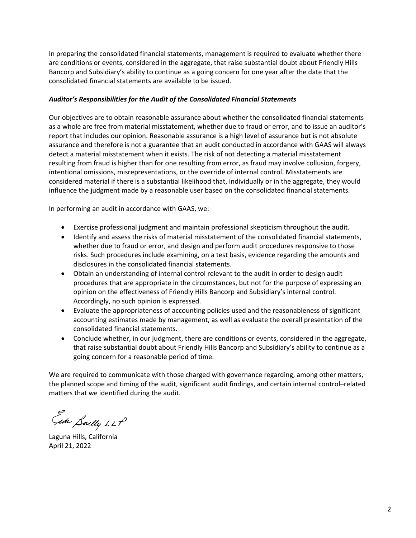In preparing the consolidated financial statements, management is required to evaluate whether there are conditions or events, considered in the aggregate, that raise substantial doubt about Friendly Hills Bancorp and Subsidiary's ability to continue as a going concern for one year after the date that the consolidated financial statements are available to be issued.

#### *Auditor's Responsibilities for the Audit of the Consolidated Financial Statements*

Our objectives are to obtain reasonable assurance about whether the consolidated financial statements as a whole are free from material misstatement, whether due to fraud or error, and to issue an auditor's report that includes our opinion. Reasonable assurance is a high level of assurance but is not absolute assurance and therefore is not a guarantee that an audit conducted in accordance with GAAS will always detect a material misstatement when it exists. The risk of not detecting a material misstatement resulting from fraud is higher than for one resulting from error, as fraud may involve collusion, forgery, intentional omissions, misrepresentations, or the override of internal control. Misstatements are considered material if there is a substantial likelihood that, individually or in the aggregate, they would influence the judgment made by a reasonable user based on the consolidated financial statements.

In performing an audit in accordance with GAAS, we:

- Exercise professional judgment and maintain professional skepticism throughout the audit.
- Identify and assess the risks of material misstatement of the consolidated financial statements, whether due to fraud or error, and design and perform audit procedures responsive to those risks. Such procedures include examining, on a test basis, evidence regarding the amounts and disclosures in the consolidated financial statements.
- Obtain an understanding of internal control relevant to the audit in order to design audit procedures that are appropriate in the circumstances, but not for the purpose of expressing an opinion on the effectiveness of Friendly Hills Bancorp and Subsidiary's internal control. Accordingly, no such opinion is expressed.
- Evaluate the appropriateness of accounting policies used and the reasonableness of significant accounting estimates made by management, as well as evaluate the overall presentation of the consolidated financial statements.
- Conclude whether, in our judgment, there are conditions or events, considered in the aggregate, that raise substantial doubt about Friendly Hills Bancorp and Subsidiary's ability to continue as a going concern for a reasonable period of time.

We are required to communicate with those charged with governance regarding, among other matters, the planned scope and timing of the audit, significant audit findings, and certain internal control–related matters that we identified during the audit.

Gide Sailly LLP

Laguna Hills, California April 21, 2022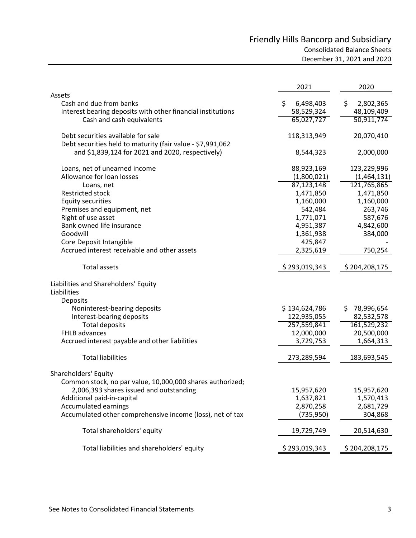# Friendly Hills Bancorp and Subsidiary Consolidated Balance Sheets December 31, 2021 and 2020

|                                                             | 2021            | 2020              |
|-------------------------------------------------------------|-----------------|-------------------|
| Assets<br>Cash and due from banks                           | \$<br>6,498,403 | \$.<br>2,802,365  |
| Interest bearing deposits with other financial institutions | 58,529,324      | 48,109,409        |
| Cash and cash equivalents                                   | 65,027,727      | 50,911,774        |
|                                                             |                 |                   |
| Debt securities available for sale                          | 118,313,949     | 20,070,410        |
| Debt securities held to maturity (fair value - \$7,991,062  |                 |                   |
| and \$1,839,124 for 2021 and 2020, respectively)            | 8,544,323       | 2,000,000         |
| Loans, net of unearned income                               | 88,923,169      | 123,229,996       |
| Allowance for loan losses                                   | (1,800,021)     | (1,464,131)       |
| Loans, net                                                  | 87,123,148      | 121,765,865       |
| <b>Restricted stock</b>                                     | 1,471,850       | 1,471,850         |
| <b>Equity securities</b>                                    | 1,160,000       | 1,160,000         |
| Premises and equipment, net                                 | 542,484         | 263,746           |
| Right of use asset                                          | 1,771,071       | 587,676           |
| Bank owned life insurance                                   | 4,951,387       | 4,842,600         |
| Goodwill                                                    | 1,361,938       | 384,000           |
| Core Deposit Intangible                                     | 425,847         |                   |
| Accrued interest receivable and other assets                | 2,325,619       | 750,254           |
| <b>Total assets</b>                                         | \$293,019,343   | \$204,208,175     |
| Liabilities and Shareholders' Equity                        |                 |                   |
| Liabilities                                                 |                 |                   |
| <b>Deposits</b>                                             |                 |                   |
| Noninterest-bearing deposits                                | \$134,624,786   | \$.<br>78,996,654 |
| Interest-bearing deposits                                   | 122,935,055     | 82,532,578        |
| <b>Total deposits</b>                                       | 257,559,841     | 161,529,232       |
| FHLB advances                                               | 12,000,000      | 20,500,000        |
| Accrued interest payable and other liabilities              | 3,729,753       | 1,664,313         |
| <b>Total liabilities</b>                                    | 273,289,594     | 183,693,545       |
| Shareholders' Equity                                        |                 |                   |
| Common stock, no par value, 10,000,000 shares authorized;   |                 |                   |
| 2,006,393 shares issued and outstanding                     | 15,957,620      | 15,957,620        |
| Additional paid-in-capital                                  | 1,637,821       | 1,570,413         |
| <b>Accumulated earnings</b>                                 | 2,870,258       | 2,681,729         |
| Accumulated other comprehensive income (loss), net of tax   | (735, 950)      | 304,868           |
| Total shareholders' equity                                  | 19,729,749      | 20,514,630        |
| Total liabilities and shareholders' equity                  | \$293,019,343   | \$204,208,175     |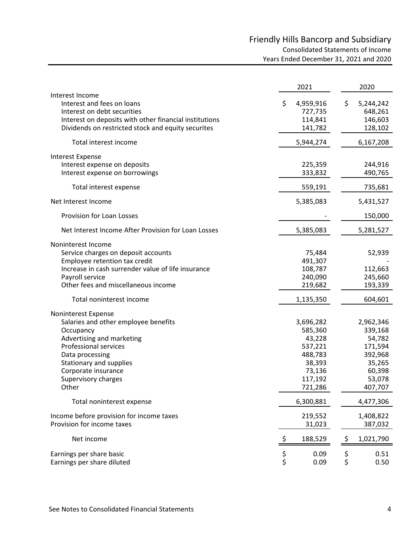# Friendly Hills Bancorp and Subsidiary Consolidated Statements of Income Years Ended December 31, 2021 and 2020

|                                                                                                                                                                                                                                            | 2021                                                                                           | 2020                                                                                          |
|--------------------------------------------------------------------------------------------------------------------------------------------------------------------------------------------------------------------------------------------|------------------------------------------------------------------------------------------------|-----------------------------------------------------------------------------------------------|
| Interest Income<br>Interest and fees on loans<br>Interest on debt securities<br>Interest on deposits with other financial institutions<br>Dividends on restricted stock and equity securites                                               | \$<br>4,959,916<br>727,735<br>114,841<br>141,782                                               | \$<br>5,244,242<br>648,261<br>146,603<br>128,102                                              |
| Total interest income                                                                                                                                                                                                                      | 5,944,274                                                                                      | 6,167,208                                                                                     |
| <b>Interest Expense</b><br>Interest expense on deposits<br>Interest expense on borrowings                                                                                                                                                  | 225,359<br>333,832                                                                             | 244,916<br>490,765                                                                            |
| Total interest expense                                                                                                                                                                                                                     | 559,191                                                                                        | 735,681                                                                                       |
| Net Interest Income                                                                                                                                                                                                                        | 5,385,083                                                                                      | 5,431,527                                                                                     |
| Provision for Loan Losses                                                                                                                                                                                                                  |                                                                                                | 150,000                                                                                       |
| Net Interest Income After Provision for Loan Losses                                                                                                                                                                                        | 5,385,083                                                                                      | 5,281,527                                                                                     |
| Noninterest Income<br>Service charges on deposit accounts<br>Employee retention tax credit<br>Increase in cash surrender value of life insurance<br>Payroll service<br>Other fees and miscellaneous income                                 | 75,484<br>491,307<br>108,787<br>240,090<br>219,682                                             | 52,939<br>112,663<br>245,660<br>193,339                                                       |
| Total noninterest income                                                                                                                                                                                                                   | 1,135,350                                                                                      | 604,601                                                                                       |
| Noninterest Expense<br>Salaries and other employee benefits<br>Occupancy<br>Advertising and marketing<br><b>Professional services</b><br>Data processing<br>Stationary and supplies<br>Corporate insurance<br>Supervisory charges<br>Other | 3,696,282<br>585,360<br>43,228<br>537,221<br>488,783<br>38,393<br>73,136<br>117,192<br>721,286 | 2,962,346<br>339,168<br>54,782<br>171,594<br>392,968<br>35,265<br>60,398<br>53,078<br>407,707 |
| Total noninterest expense                                                                                                                                                                                                                  | 6,300,881                                                                                      | 4,477,306                                                                                     |
| Income before provision for income taxes<br>Provision for income taxes                                                                                                                                                                     | 219,552<br>31,023                                                                              | 1,408,822<br>387,032                                                                          |
| Net income                                                                                                                                                                                                                                 | \$<br>188,529                                                                                  | \$<br>1,021,790                                                                               |
| Earnings per share basic<br>Earnings per share diluted                                                                                                                                                                                     | \$<br>\$<br>0.09<br>0.09                                                                       | $\begin{array}{c} \texttt{S}\\ \texttt{S} \end{array}$<br>0.51<br>0.50                        |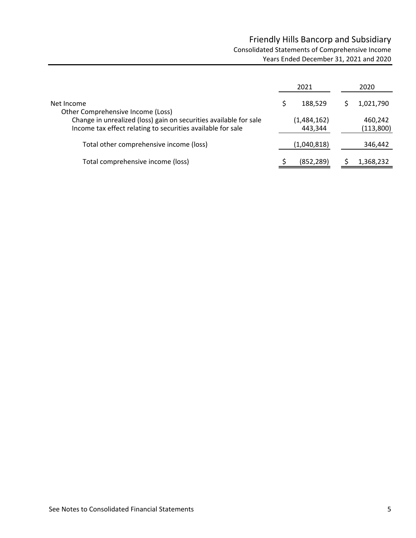# Friendly Hills Bancorp and Subsidiary Consolidated Statements of Comprehensive Income Years Ended December 31, 2021 and 2020

|                                                                                                                                                                       | 2021                   | 2020                 |
|-----------------------------------------------------------------------------------------------------------------------------------------------------------------------|------------------------|----------------------|
| Net Income                                                                                                                                                            | 188.529                | 1,021,790            |
| Other Comprehensive Income (Loss)<br>Change in unrealized (loss) gain on securities available for sale<br>Income tax effect relating to securities available for sale | (1,484,162)<br>443,344 | 460,242<br>(113,800) |
| Total other comprehensive income (loss)                                                                                                                               | (1,040,818)            | 346,442              |
| Total comprehensive income (loss)                                                                                                                                     | (852, 289)             | 1,368,232            |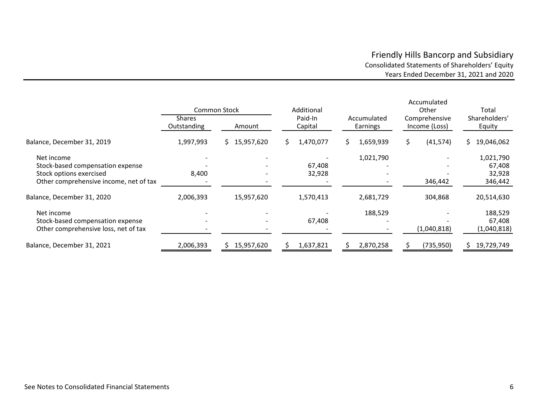### Friendly Hills Bancorp and Subsidiary Consolidated Statements of Shareholders' Equity Years Ended December 31, 2021 and 2020

|                                                                                        |                              | <b>Common Stock</b> | Additional         |                         | Accumulated<br>Other           | Total                            |  |
|----------------------------------------------------------------------------------------|------------------------------|---------------------|--------------------|-------------------------|--------------------------------|----------------------------------|--|
|                                                                                        | <b>Shares</b><br>Outstanding | Amount              | Paid-In<br>Capital | Accumulated<br>Earnings | Comprehensive<br>Income (Loss) | Shareholders'<br>Equity          |  |
| Balance, December 31, 2019                                                             | 1,997,993                    | 15,957,620<br>S.    | 1,470,077<br>S.    | 1,659,939<br>S.         | (41, 574)<br>S.                | 19,046,062<br>S.                 |  |
| Net income<br>Stock-based compensation expense                                         |                              |                     | 67,408             | 1,021,790               |                                | 1,021,790<br>67,408              |  |
| Stock options exercised<br>Other comprehensive income, net of tax                      | 8,400                        |                     | 32,928             |                         | 346,442                        | 32,928<br>346,442                |  |
| Balance, December 31, 2020                                                             | 2,006,393                    | 15,957,620          | 1,570,413          | 2,681,729               | 304,868                        | 20,514,630                       |  |
| Net income<br>Stock-based compensation expense<br>Other comprehensive loss, net of tax |                              |                     | 67,408             | 188,529                 | (1,040,818)                    | 188,529<br>67,408<br>(1,040,818) |  |
| Balance, December 31, 2021                                                             | 2,006,393                    | 15,957,620          | 1,637,821          | 2,870,258               | (735, 950)                     | 19,729,749                       |  |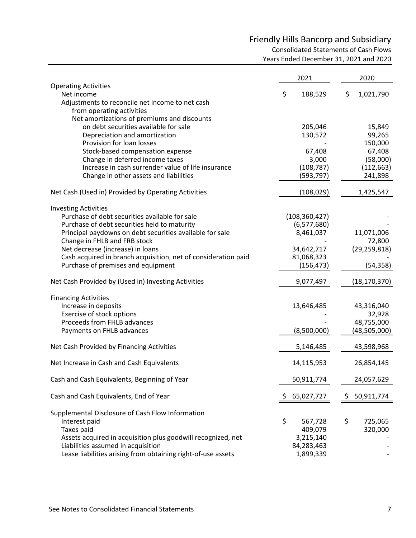# Friendly Hills Bancorp and Subsidiary

Consolidated Statements of Cash Flows

Years Ended December 31, 2021 and 2020

|                                                                | 2021         |                 |     | 2020           |
|----------------------------------------------------------------|--------------|-----------------|-----|----------------|
| <b>Operating Activities</b>                                    |              |                 |     |                |
| Net income<br>Adjustments to reconcile net income to net cash  | \$           | 188,529         | \$  | 1,021,790      |
| from operating activities                                      |              |                 |     |                |
| Net amortizations of premiums and discounts                    |              |                 |     |                |
| on debt securities available for sale                          |              | 205,046         |     | 15,849         |
| Depreciation and amortization                                  |              | 130,572         |     | 99,265         |
| Provision for loan losses                                      |              |                 |     | 150,000        |
| Stock-based compensation expense                               |              | 67,408          |     | 67,408         |
| Change in deferred income taxes                                |              | 3,000           |     | (58,000)       |
| Increase in cash surrender value of life insurance             |              | (108, 787)      |     | (112, 663)     |
| Change in other assets and liabilities                         |              | (593, 797)      |     | 241,898        |
| Net Cash (Used in) Provided by Operating Activities            |              | (108, 029)      |     | 1,425,547      |
| <b>Investing Activities</b>                                    |              |                 |     |                |
| Purchase of debt securities available for sale                 |              | (108, 360, 427) |     |                |
| Purchase of debt securities held to maturity                   |              | (6,577,680)     |     |                |
| Principal paydowns on debt securities available for sale       |              | 8,461,037       |     | 11,071,006     |
| Change in FHLB and FRB stock                                   |              |                 |     | 72,800         |
| Net decrease (increase) in loans                               |              | 34,642,717      |     | (29, 259, 818) |
| Cash acquired in branch acquisition, net of consideration paid |              | 81,068,323      |     |                |
| Purchase of premises and equipment                             |              | (156, 473)      |     | (54, 358)      |
| Net Cash Provided by (Used in) Investing Activities            |              | 9,077,497       |     | (18, 170, 370) |
| <b>Financing Activities</b>                                    |              |                 |     |                |
| Increase in deposits                                           |              | 13,646,485      |     | 43,316,040     |
| Exercise of stock options                                      |              |                 |     | 32,928         |
| Proceeds from FHLB advances                                    |              |                 |     | 48,755,000     |
| Payments on FHLB advances                                      |              | (8,500,000)     |     | (48, 505, 000) |
| Net Cash Provided by Financing Activities                      |              | 5,146,485       |     | 43,598,968     |
| Net Increase in Cash and Cash Equivalents                      |              | 14,115,953      |     | 26,854,145     |
| Cash and Cash Equivalents, Beginning of Year                   |              | 50,911,774      |     | 24,057,629     |
| Cash and Cash Equivalents, End of Year                         | \$65,027,727 |                 | \$. | 50,911,774     |
| Supplemental Disclosure of Cash Flow Information               |              |                 |     |                |
| Interest paid                                                  | \$           | 567,728         | \$  | 725,065        |
| Taxes paid                                                     |              | 409,079         |     | 320,000        |
| Assets acquired in acquisition plus goodwill recognized, net   |              | 3,215,140       |     |                |
| Liabilities assumed in acquisition                             |              | 84,283,463      |     |                |
| Lease liabilities arising from obtaining right-of-use assets   |              | 1,899,339       |     |                |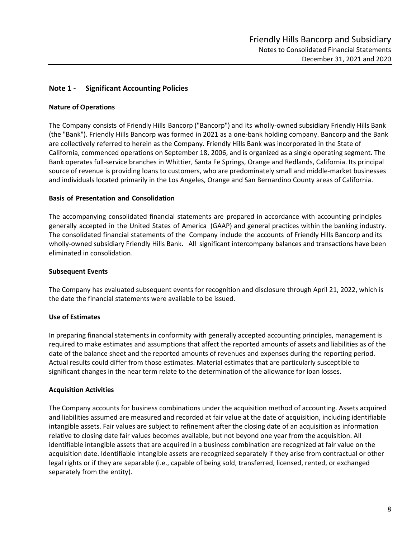#### **Note 1 ‐ Significant Accounting Policies**

#### **Nature of Operations**

The Company consists of Friendly Hills Bancorp ("Bancorp") and its wholly‐owned subsidiary Friendly Hills Bank (the "Bank"). Friendly Hills Bancorp was formed in 2021 as a one‐bank holding company. Bancorp and the Bank are collectively referred to herein as the Company. Friendly Hills Bank was incorporated in the State of California, commenced operations on September 18, 2006, and is organized as a single operating segment. The Bank operates full‐service branches in Whittier, Santa Fe Springs, Orange and Redlands, California. Its principal source of revenue is providing loans to customers, who are predominately small and middle-market businesses and individuals located primarily in the Los Angeles, Orange and San Bernardino County areas of California.

#### **Basis of Presentation and Consolidation**

The accompanying consolidated financial statements are prepared in accordance with accounting principles generally accepted in the United States of America (GAAP) and general practices within the banking industry. The consolidated financial statements of the Company include the accounts of Friendly Hills Bancorp and its wholly-owned subsidiary Friendly Hills Bank. All significant intercompany balances and transactions have been eliminated in consolidation.

#### **Subsequent Events**

The Company has evaluated subsequent events for recognition and disclosure through April 21, 2022, which is the date the financial statements were available to be issued.

#### **Use of Estimates**

In preparing financial statements in conformity with generally accepted accounting principles, management is required to make estimates and assumptions that affect the reported amounts of assets and liabilities as of the date of the balance sheet and the reported amounts of revenues and expenses during the reporting period. Actual results could differ from those estimates. Material estimates that are particularly susceptible to significant changes in the near term relate to the determination of the allowance for loan losses.

#### **Acquisition Activities**

The Company accounts for business combinations under the acquisition method of accounting. Assets acquired and liabilities assumed are measured and recorded at fair value at the date of acquisition, including identifiable intangible assets. Fair values are subject to refinement after the closing date of an acquisition as information relative to closing date fair values becomes available, but not beyond one year from the acquisition. All identifiable intangible assets that are acquired in a business combination are recognized at fair value on the acquisition date. Identifiable intangible assets are recognized separately if they arise from contractual or other legal rights or if they are separable (i.e., capable of being sold, transferred, licensed, rented, or exchanged separately from the entity).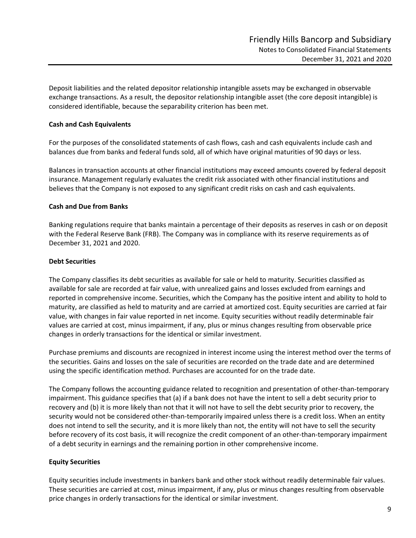Deposit liabilities and the related depositor relationship intangible assets may be exchanged in observable exchange transactions. As a result, the depositor relationship intangible asset (the core deposit intangible) is considered identifiable, because the separability criterion has been met.

#### **Cash and Cash Equivalents**

For the purposes of the consolidated statements of cash flows, cash and cash equivalents include cash and balances due from banks and federal funds sold, all of which have original maturities of 90 days or less.

Balances in transaction accounts at other financial institutions may exceed amounts covered by federal deposit insurance. Management regularly evaluates the credit risk associated with other financial institutions and believes that the Company is not exposed to any significant credit risks on cash and cash equivalents.

#### **Cash and Due from Banks**

Banking regulations require that banks maintain a percentage of their deposits as reserves in cash or on deposit with the Federal Reserve Bank (FRB). The Company was in compliance with its reserve requirements as of December 31, 2021 and 2020.

#### **Debt Securities**

The Company classifies its debt securities as available for sale or held to maturity. Securities classified as available for sale are recorded at fair value, with unrealized gains and losses excluded from earnings and reported in comprehensive income. Securities, which the Company has the positive intent and ability to hold to maturity, are classified as held to maturity and are carried at amortized cost. Equity securities are carried at fair value, with changes in fair value reported in net income. Equity securities without readily determinable fair values are carried at cost, minus impairment, if any, plus or minus changes resulting from observable price changes in orderly transactions for the identical or similar investment.

Purchase premiums and discounts are recognized in interest income using the interest method over the terms of the securities. Gains and losses on the sale of securities are recorded on the trade date and are determined using the specific identification method. Purchases are accounted for on the trade date.

The Company follows the accounting guidance related to recognition and presentation of other-than-temporary impairment. This guidance specifies that (a) if a bank does not have the intent to sell a debt security prior to recovery and (b) it is more likely than not that it will not have to sell the debt security prior to recovery, the security would not be considered other-than-temporarily impaired unless there is a credit loss. When an entity does not intend to sell the security, and it is more likely than not, the entity will not have to sell the security before recovery of its cost basis, it will recognize the credit component of an other-than-temporary impairment of a debt security in earnings and the remaining portion in other comprehensive income.

#### **Equity Securities**

Equity securities include investments in bankers bank and other stock without readily determinable fair values. These securities are carried at cost, minus impairment, if any, plus or minus changes resulting from observable price changes in orderly transactions for the identical or similar investment.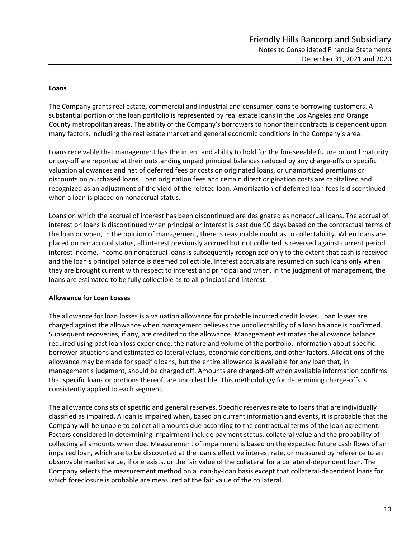#### **Loans**

The Company grants real estate, commercial and industrial and consumer loans to borrowing customers. A substantial portion of the loan portfolio is represented by real estate loans in the Los Angeles and Orange County metropolitan areas. The ability of the Company's borrowers to honor their contracts is dependent upon many factors, including the real estate market and general economic conditions in the Company's area.

Loans receivable that management has the intent and ability to hold for the foreseeable future or until maturity or pay‐off are reported at their outstanding unpaid principal balances reduced by any charge‐offs or specific valuation allowances and net of deferred fees or costs on originated loans, or unamortized premiums or discounts on purchased loans. Loan origination fees and certain direct origination costs are capitalized and recognized as an adjustment of the yield of the related loan. Amortization of deferred loan fees is discontinued when a loan is placed on nonaccrual status.

Loans on which the accrual of interest has been discontinued are designated as nonaccrual loans. The accrual of interest on loans is discontinued when principal or interest is past due 90 days based on the contractual terms of the loan or when, in the opinion of management, there is reasonable doubt as to collectability. When loans are placed on nonaccrual status, all interest previously accrued but not collected is reversed against current period interest income. Income on nonaccrual loans is subsequently recognized only to the extent that cash is received and the loan's principal balance is deemed collectible. Interest accruals are resumed on such loans only when they are brought current with respect to interest and principal and when, in the judgment of management, the loans are estimated to be fully collectible as to all principal and interest.

#### **Allowance for Loan Losses**

The allowance for loan losses is a valuation allowance for probable incurred credit losses. Loan losses are charged against the allowance when management believes the uncollectability of a loan balance is confirmed. Subsequent recoveries, if any, are credited to the allowance. Management estimates the allowance balance required using past loan loss experience, the nature and volume of the portfolio, information about specific borrower situations and estimated collateral values, economic conditions, and other factors. Allocations of the allowance may be made for specific loans, but the entire allowance is available for any loan that, in management's judgment, should be charged off. Amounts are charged‐off when available information confirms that specific loans or portions thereof, are uncollectible. This methodology for determining charge-offs is consistently applied to each segment.

The allowance consists of specific and general reserves. Specific reserves relate to loans that are individually classified as impaired. A loan is impaired when, based on current information and events, it is probable that the Company will be unable to collect all amounts due according to the contractual terms of the loan agreement. Factors considered in determining impairment include payment status, collateral value and the probability of collecting all amounts when due. Measurement of impairment is based on the expected future cash flows of an impaired loan, which are to be discounted at the loan's effective interest rate, or measured by reference to an observable market value, if one exists, or the fair value of the collateral for a collateral‐dependent loan. The Company selects the measurement method on a loan‐by‐loan basis except that collateral‐dependent loans for which foreclosure is probable are measured at the fair value of the collateral.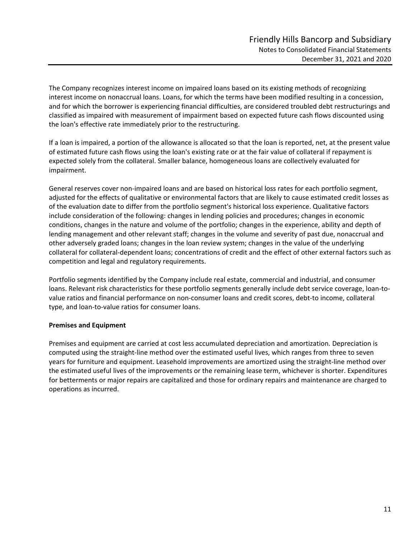The Company recognizes interest income on impaired loans based on its existing methods of recognizing interest income on nonaccrual loans. Loans, for which the terms have been modified resulting in a concession, and for which the borrower is experiencing financial difficulties, are considered troubled debt restructurings and classified as impaired with measurement of impairment based on expected future cash flows discounted using the loan's effective rate immediately prior to the restructuring.

If a loan is impaired, a portion of the allowance is allocated so that the loan is reported, net, at the present value of estimated future cash flows using the loan's existing rate or at the fair value of collateral if repayment is expected solely from the collateral. Smaller balance, homogeneous loans are collectively evaluated for impairment.

General reserves cover non‐impaired loans and are based on historical loss rates for each portfolio segment, adjusted for the effects of qualitative or environmental factors that are likely to cause estimated credit losses as of the evaluation date to differ from the portfolio segment's historical loss experience. Qualitative factors include consideration of the following: changes in lending policies and procedures; changes in economic conditions, changes in the nature and volume of the portfolio; changes in the experience, ability and depth of lending management and other relevant staff; changes in the volume and severity of past due, nonaccrual and other adversely graded loans; changes in the loan review system; changes in the value of the underlying collateral for collateral‐dependent loans; concentrations of credit and the effect of other external factors such as competition and legal and regulatory requirements.

Portfolio segments identified by the Company include real estate, commercial and industrial, and consumer loans. Relevant risk characteristics for these portfolio segments generally include debt service coverage, loan‐to‐ value ratios and financial performance on non‐consumer loans and credit scores, debt‐to income, collateral type, and loan‐to‐value ratios for consumer loans.

#### **Premises and Equipment**

Premises and equipment are carried at cost less accumulated depreciation and amortization. Depreciation is computed using the straight‐line method over the estimated useful lives, which ranges from three to seven years for furniture and equipment. Leasehold improvements are amortized using the straight‐line method over the estimated useful lives of the improvements or the remaining lease term, whichever is shorter. Expenditures for betterments or major repairs are capitalized and those for ordinary repairs and maintenance are charged to operations as incurred.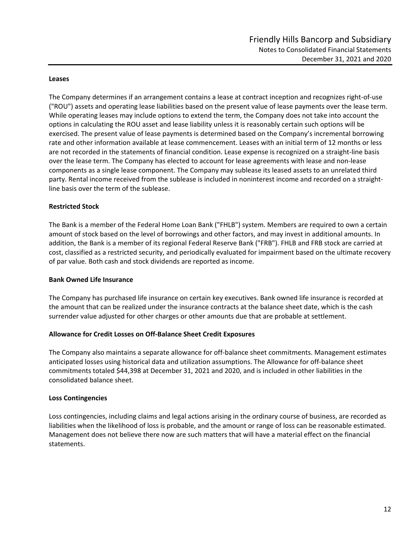#### **Leases**

The Company determines if an arrangement contains a lease at contract inception and recognizes right‐of‐use ("ROU") assets and operating lease liabilities based on the present value of lease payments over the lease term. While operating leases may include options to extend the term, the Company does not take into account the options in calculating the ROU asset and lease liability unless it is reasonably certain such options will be exercised. The present value of lease payments is determined based on the Company's incremental borrowing rate and other information available at lease commencement. Leases with an initial term of 12 months or less are not recorded in the statements of financial condition. Lease expense is recognized on a straight‐line basis over the lease term. The Company has elected to account for lease agreements with lease and non‐lease components as a single lease component. The Company may sublease its leased assets to an unrelated third party. Rental income received from the sublease is included in noninterest income and recorded on a straightline basis over the term of the sublease.

#### **Restricted Stock**

The Bank is a member of the Federal Home Loan Bank ("FHLB") system. Members are required to own a certain amount of stock based on the level of borrowings and other factors, and may invest in additional amounts. In addition, the Bank is a member of its regional Federal Reserve Bank ("FRB"). FHLB and FRB stock are carried at cost, classified as a restricted security, and periodically evaluated for impairment based on the ultimate recovery of par value. Both cash and stock dividends are reported as income.

#### **Bank Owned Life Insurance**

The Company has purchased life insurance on certain key executives. Bank owned life insurance is recorded at the amount that can be realized under the insurance contracts at the balance sheet date, which is the cash surrender value adjusted for other charges or other amounts due that are probable at settlement.

#### **Allowance for Credit Losses on Off‐Balance Sheet Credit Exposures**

The Company also maintains a separate allowance for off‐balance sheet commitments. Management estimates anticipated losses using historical data and utilization assumptions. The Allowance for off‐balance sheet commitments totaled \$44,398 at December 31, 2021 and 2020, and is included in other liabilities in the consolidated balance sheet.

#### **Loss Contingencies**

Loss contingencies, including claims and legal actions arising in the ordinary course of business, are recorded as liabilities when the likelihood of loss is probable, and the amount or range of loss can be reasonable estimated. Management does not believe there now are such matters that will have a material effect on the financial statements.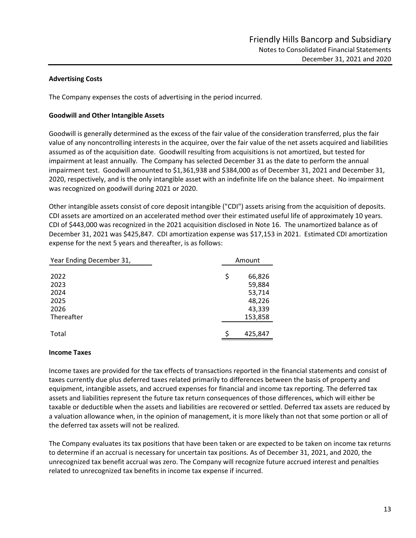#### **Advertising Costs**

The Company expenses the costs of advertising in the period incurred.

#### **Goodwill and Other Intangible Assets**

Goodwill is generally determined as the excess of the fair value of the consideration transferred, plus the fair value of any noncontrolling interests in the acquiree, over the fair value of the net assets acquired and liabilities assumed as of the acquisition date. Goodwill resulting from acquisitions is not amortized, but tested for impairment at least annually. The Company has selected December 31 as the date to perform the annual impairment test. Goodwill amounted to \$1,361,938 and \$384,000 as of December 31, 2021 and December 31, 2020, respectively, and is the only intangible asset with an indefinite life on the balance sheet. No impairment was recognized on goodwill during 2021 or 2020.

Other intangible assets consist of core deposit intangible ("CDI") assets arising from the acquisition of deposits. CDI assets are amortized on an accelerated method over their estimated useful life of approximately 10 years. CDI of \$443,000 was recognized in the 2021 acquisition disclosed in Note 16. The unamortized balance as of December 31, 2021 was \$425,847. CDI amortization expense was \$17,153 in 2021. Estimated CDI amortization expense for the next 5 years and thereafter, is as follows:

| Year Ending December 31, |    | Amount  |  |  |  |  |
|--------------------------|----|---------|--|--|--|--|
| 2022                     | \$ | 66,826  |  |  |  |  |
| 2023                     |    | 59,884  |  |  |  |  |
| 2024                     |    | 53,714  |  |  |  |  |
| 2025                     |    | 48,226  |  |  |  |  |
| 2026                     |    | 43,339  |  |  |  |  |
| Thereafter               |    | 153,858 |  |  |  |  |
|                          |    |         |  |  |  |  |
| Total                    |    | 425,847 |  |  |  |  |

#### **Income Taxes**

Income taxes are provided for the tax effects of transactions reported in the financial statements and consist of taxes currently due plus deferred taxes related primarily to differences between the basis of property and equipment, intangible assets, and accrued expenses for financial and income tax reporting. The deferred tax assets and liabilities represent the future tax return consequences of those differences, which will either be taxable or deductible when the assets and liabilities are recovered or settled. Deferred tax assets are reduced by a valuation allowance when, in the opinion of management, it is more likely than not that some portion or all of the deferred tax assets will not be realized.

The Company evaluates its tax positions that have been taken or are expected to be taken on income tax returns to determine if an accrual is necessary for uncertain tax positions. As of December 31, 2021, and 2020, the unrecognized tax benefit accrual was zero. The Company will recognize future accrued interest and penalties related to unrecognized tax benefits in income tax expense if incurred.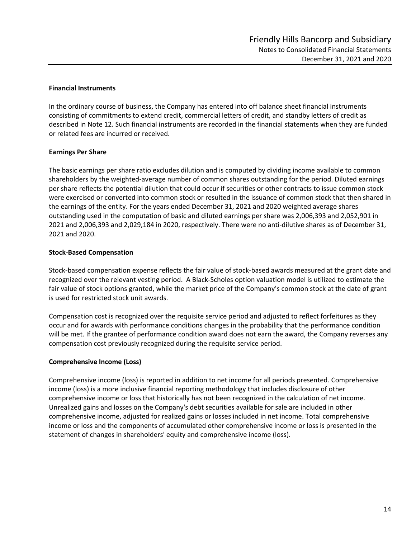#### **Financial Instruments**

In the ordinary course of business, the Company has entered into off balance sheet financial instruments consisting of commitments to extend credit, commercial letters of credit, and standby letters of credit as described in Note 12. Such financial instruments are recorded in the financial statements when they are funded or related fees are incurred or received.

#### **Earnings Per Share**

The basic earnings per share ratio excludes dilution and is computed by dividing income available to common shareholders by the weighted‐average number of common shares outstanding for the period. Diluted earnings per share reflects the potential dilution that could occur if securities or other contracts to issue common stock were exercised or converted into common stock or resulted in the issuance of common stock that then shared in the earnings of the entity. For the years ended December 31, 2021 and 2020 weighted average shares outstanding used in the computation of basic and diluted earnings per share was 2,006,393 and 2,052,901 in 2021 and 2,006,393 and 2,029,184 in 2020, respectively. There were no anti‐dilutive shares as of December 31, 2021 and 2020.

#### **Stock‐Based Compensation**

Stock‐based compensation expense reflects the fair value of stock‐based awards measured at the grant date and recognized over the relevant vesting period. A Black‐Scholes option valuation model is utilized to estimate the fair value of stock options granted, while the market price of the Company's common stock at the date of grant is used for restricted stock unit awards.

Compensation cost is recognized over the requisite service period and adjusted to reflect forfeitures as they occur and for awards with performance conditions changes in the probability that the performance condition will be met. If the grantee of performance condition award does not earn the award, the Company reverses any compensation cost previously recognized during the requisite service period.

#### **Comprehensive Income (Loss)**

Comprehensive income (loss) is reported in addition to net income for all periods presented. Comprehensive income (loss) is a more inclusive financial reporting methodology that includes disclosure of other comprehensive income or loss that historically has not been recognized in the calculation of net income. Unrealized gains and losses on the Company's debt securities available for sale are included in other comprehensive income, adjusted for realized gains or losses included in net income. Total comprehensive income or loss and the components of accumulated other comprehensive income or loss is presented in the statement of changes in shareholders' equity and comprehensive income (loss).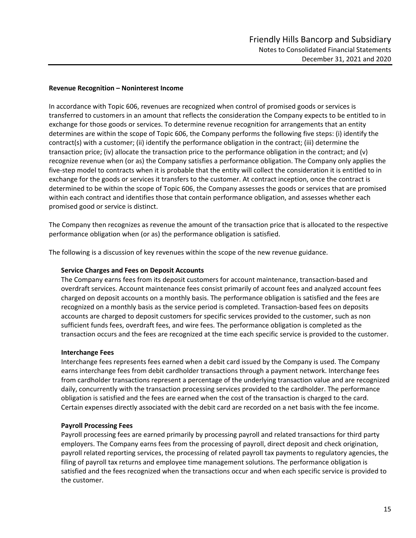#### **Revenue Recognition – Noninterest Income**

In accordance with Topic 606, revenues are recognized when control of promised goods or services is transferred to customers in an amount that reflects the consideration the Company expects to be entitled to in exchange for those goods or services. To determine revenue recognition for arrangements that an entity determines are within the scope of Topic 606, the Company performs the following five steps: (i) identify the contract(s) with a customer; (ii) identify the performance obligation in the contract; (iii) determine the transaction price; (iv) allocate the transaction price to the performance obligation in the contract; and (v) recognize revenue when (or as) the Company satisfies a performance obligation. The Company only applies the five‐step model to contracts when it is probable that the entity will collect the consideration it is entitled to in exchange for the goods or services it transfers to the customer. At contract inception, once the contract is determined to be within the scope of Topic 606, the Company assesses the goods or services that are promised within each contract and identifies those that contain performance obligation, and assesses whether each promised good or service is distinct.

The Company then recognizes as revenue the amount of the transaction price that is allocated to the respective performance obligation when (or as) the performance obligation is satisfied.

The following is a discussion of key revenues within the scope of the new revenue guidance.

#### **Service Charges and Fees on Deposit Accounts**

The Company earns fees from its deposit customers for account maintenance, transaction‐based and overdraft services. Account maintenance fees consist primarily of account fees and analyzed account fees charged on deposit accounts on a monthly basis. The performance obligation is satisfied and the fees are recognized on a monthly basis as the service period is completed. Transaction‐based fees on deposits accounts are charged to deposit customers for specific services provided to the customer, such as non sufficient funds fees, overdraft fees, and wire fees. The performance obligation is completed as the transaction occurs and the fees are recognized at the time each specific service is provided to the customer.

#### **Interchange Fees**

Interchange fees represents fees earned when a debit card issued by the Company is used. The Company earns interchange fees from debit cardholder transactions through a payment network. Interchange fees from cardholder transactions represent a percentage of the underlying transaction value and are recognized daily, concurrently with the transaction processing services provided to the cardholder. The performance obligation is satisfied and the fees are earned when the cost of the transaction is charged to the card. Certain expenses directly associated with the debit card are recorded on a net basis with the fee income.

#### **Payroll Processing Fees**

Payroll processing fees are earned primarily by processing payroll and related transactions for third party employers. The Company earns fees from the processing of payroll, direct deposit and check origination, payroll related reporting services, the processing of related payroll tax payments to regulatory agencies, the filing of payroll tax returns and employee time management solutions. The performance obligation is satisfied and the fees recognized when the transactions occur and when each specific service is provided to the customer.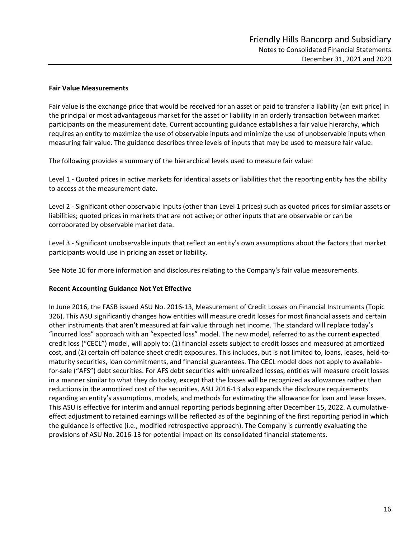#### **Fair Value Measurements**

Fair value is the exchange price that would be received for an asset or paid to transfer a liability (an exit price) in the principal or most advantageous market for the asset or liability in an orderly transaction between market participants on the measurement date. Current accounting guidance establishes a fair value hierarchy, which requires an entity to maximize the use of observable inputs and minimize the use of unobservable inputs when measuring fair value. The guidance describes three levels of inputs that may be used to measure fair value:

The following provides a summary of the hierarchical levels used to measure fair value:

Level 1 - Quoted prices in active markets for identical assets or liabilities that the reporting entity has the ability to access at the measurement date.

Level 2 ‐ Significant other observable inputs (other than Level 1 prices) such as quoted prices for similar assets or liabilities; quoted prices in markets that are not active; or other inputs that are observable or can be corroborated by observable market data.

Level 3 ‐ Significant unobservable inputs that reflect an entity's own assumptions about the factors that market participants would use in pricing an asset or liability.

See Note 10 for more information and disclosures relating to the Company's fair value measurements.

#### **Recent Accounting Guidance Not Yet Effective**

In June 2016, the FASB issued ASU No. 2016‐13, Measurement of Credit Losses on Financial Instruments (Topic 326). This ASU significantly changes how entities will measure credit losses for most financial assets and certain other instruments that aren't measured at fair value through net income. The standard will replace today's "incurred loss" approach with an "expected loss" model. The new model, referred to as the current expected credit loss ("CECL") model, will apply to: (1) financial assets subject to credit losses and measured at amortized cost, and (2) certain off balance sheet credit exposures. This includes, but is not limited to, loans, leases, held-tomaturity securities, loan commitments, and financial guarantees. The CECL model does not apply to available‐ for-sale ("AFS") debt securities. For AFS debt securities with unrealized losses, entities will measure credit losses in a manner similar to what they do today, except that the losses will be recognized as allowances rather than reductions in the amortized cost of the securities. ASU 2016‐13 also expands the disclosure requirements regarding an entity's assumptions, models, and methods for estimating the allowance for loan and lease losses. This ASU is effective for interim and annual reporting periods beginning after December 15, 2022. A cumulative‐ effect adjustment to retained earnings will be reflected as of the beginning of the first reporting period in which the guidance is effective (i.e., modified retrospective approach). The Company is currently evaluating the provisions of ASU No. 2016‐13 for potential impact on its consolidated financial statements.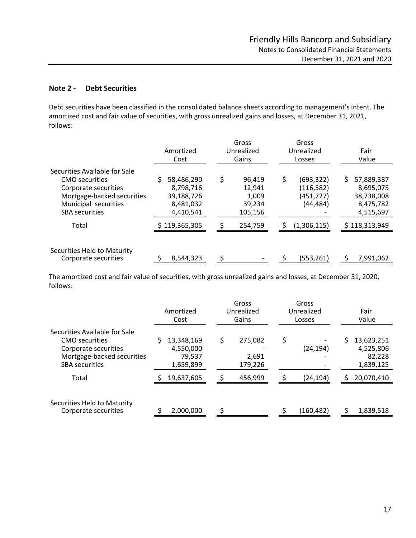#### **Note 2 ‐ Debt Securities**

Debt securities have been classified in the consolidated balance sheets according to management's intent. The amortized cost and fair value of securities, with gross unrealized gains and losses, at December 31, 2021, follows:

|                                                                                                                                                        | Amortized<br>Cost                                               | Gross<br>Gross<br>Unrealized<br>Unrealized<br>Gains<br>Losses |                                                          | Fair<br>Value                                                         |
|--------------------------------------------------------------------------------------------------------------------------------------------------------|-----------------------------------------------------------------|---------------------------------------------------------------|----------------------------------------------------------|-----------------------------------------------------------------------|
| Securities Available for Sale<br>CMO securities<br>Corporate securities<br>Mortgage-backed securities<br>Municipal securities<br><b>SBA</b> securities | 58,486,290<br>8.798.716<br>39,188,726<br>8,481,032<br>4,410,541 | \$<br>96,419<br>12,941<br>1,009<br>39,234<br>105,156          | Ś<br>(693, 322)<br>(116, 582)<br>(451, 727)<br>(44, 484) | \$<br>57,889,387<br>8,695,075<br>38,738,008<br>8,475,782<br>4,515,697 |
| Total                                                                                                                                                  | \$119,365,305                                                   | 254,759                                                       | (1,306,115)                                              | \$118,313,949                                                         |
| Securities Held to Maturity<br>Corporate securities                                                                                                    | 8,544,323                                                       | ς                                                             | (553, 261)                                               | 7,991,062<br>S                                                        |

The amortized cost and fair value of securities, with gross unrealized gains and losses, at December 31, 2020, follows:

|                                                                                                                                       | Amortized<br>Cost                              |    | Gross<br>Unrealized<br>Gains | Gross<br>Unrealized<br>Losses | Fair<br>Value |                                                |
|---------------------------------------------------------------------------------------------------------------------------------------|------------------------------------------------|----|------------------------------|-------------------------------|---------------|------------------------------------------------|
| Securities Available for Sale<br><b>CMO</b> securities<br>Corporate securities<br>Mortgage-backed securities<br><b>SBA</b> securities | 13,348,169<br>4,550,000<br>79,537<br>1,659,899 | \$ | 275,082<br>2,691<br>179,226  | \$<br>(24, 194)               | \$            | 13,623,251<br>4,525,806<br>82,228<br>1,839,125 |
| Total                                                                                                                                 | 19,637,605                                     |    | 456,999                      | (24, 194)                     | Ś             | 20,070,410                                     |
| Securities Held to Maturity<br>Corporate securities                                                                                   | 2,000,000                                      | Ś  | -                            | (160, 482)                    | ς             | 1,839,518                                      |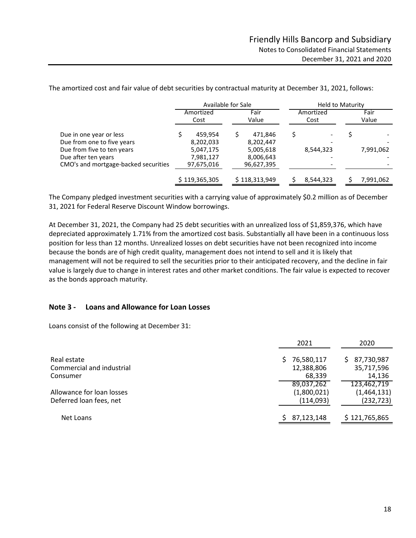Amortized Fair Amortized Fair Cost Value Cost Value Due in one year or less <br>
Due from one to five years <br>
B,202,033 <br>
B,202,447 <br>
Allows a strategy of the set of the years<br>
B,202,033 <br>
B,202,447 Due from one to five years <br>
Due from five to ten years <br>  $5,047,175$  <br>  $5,005,618$  <br>  $8,544,323$ Due from five to ten years 5,047,175 5,005,618 8,544,323 7,991,062 Due after ten years 7,981,127 ‐ 8,006,643 ‐ CMO's and mortgage‐backed securities 97,675,016 ‐ 96,627,395 ‐ \$119,365,305 \$118,313,949 \$8,544,323 \$7,991,062 Available for Sale **Held to Maturity** 

The amortized cost and fair value of debt securities by contractual maturity at December 31, 2021, follows:

 The Company pledged investment securities with <sup>a</sup> carrying value of approximately \$0.2 million as of December 31, 2021 for Federal Reserve Discount Window borrowings.

At December 31, 2021, the Company had 25 debt securities with an unrealized loss of \$1,859,376, which have depreciated approximately 1.71% from the amortized cost basis. Substantially all have been in a continuous loss position for less than 12 months. Unrealized losses on debt securities have not been recognized into income because the bonds are of high credit quality, management does not intend to sell and it is likely that management will not be required to sell the securities prior to their anticipated recovery, and the decline in fair value is largely due to change in interest rates and other market conditions. The fair value is expected to recover as the bonds approach maturity.

#### **Note 3 ‐ Loans and Allowance for Loan Losses**

Loans consist of the following at December 31:

|                           | 2021             | 2020             |
|---------------------------|------------------|------------------|
| Real estate               | 76,580,117<br>S. | 87,730,987<br>S. |
| Commercial and industrial | 12,388,806       | 35,717,596       |
| Consumer                  | 68,339           | 14,136           |
|                           | 89,037,262       | 123,462,719      |
| Allowance for loan losses | (1,800,021)      | (1,464,131)      |
| Deferred loan fees, net   | (114,093)        | (232, 723)       |
| Net Loans                 | 87,123,148       | \$121,765,865    |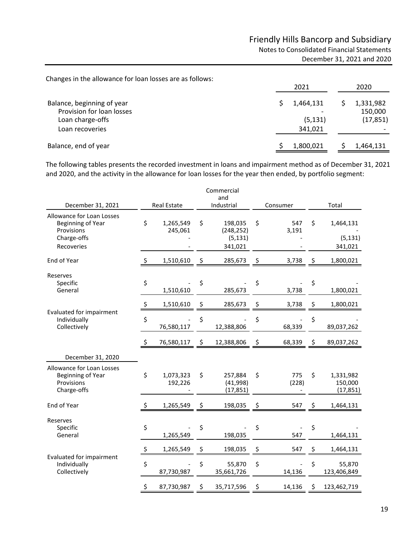Changes in the allowance for loan losses are as follows:

|                                                                                                | 2021                             | 2020                              |  |  |
|------------------------------------------------------------------------------------------------|----------------------------------|-----------------------------------|--|--|
| Balance, beginning of year<br>Provision for loan losses<br>Loan charge-offs<br>Loan recoveries | 1,464,131<br>(5, 131)<br>341.021 | 1,331,982<br>150,000<br>(17, 851) |  |  |
| Balance, end of year                                                                           | 1,800,021                        | 1,464,131                         |  |  |

The following tables presents the recorded investment in loans and impairment method as of December 31, 2021 and 2020, and the activity in the allowance for loan losses for the year then ended, by portfolio segment:

|                                                                                                  |              |                      |            | Commercial<br>and                            |                    |       |                                   |
|--------------------------------------------------------------------------------------------------|--------------|----------------------|------------|----------------------------------------------|--------------------|-------|-----------------------------------|
| December 31, 2021                                                                                |              | <b>Real Estate</b>   | Industrial |                                              | Consumer           | Total |                                   |
| <b>Allowance for Loan Losses</b><br>Beginning of Year<br>Provisions<br>Charge-offs<br>Recoveries | \$           | 1,265,549<br>245,061 | \$         | 198,035<br>(248, 252)<br>(5, 131)<br>341,021 | \$<br>547<br>3,191 | \$    | 1,464,131<br>(5, 131)<br>341,021  |
| End of Year                                                                                      | \$           | 1,510,610            | \$         | 285,673                                      | \$<br>3,738        | \$    | 1,800,021                         |
| Reserves<br>Specific<br>General                                                                  | \$           | 1,510,610            | \$         | 285,673                                      | \$<br>3,738        | \$    | 1,800,021                         |
|                                                                                                  | $\mathsf{S}$ | 1,510,610            | \$         | 285,673                                      | \$<br>3,738        | \$    | 1,800,021                         |
| <b>Evaluated for impairment</b><br>Individually<br>Collectively                                  | \$           | 76,580,117           | \$         | 12,388,806                                   | \$<br>68,339       | \$    | 89,037,262                        |
|                                                                                                  | \$           | 76,580,117           | \$         | 12,388,806                                   | \$<br>68,339       | \$    | 89,037,262                        |
| December 31, 2020                                                                                |              |                      |            |                                              |                    |       |                                   |
| Allowance for Loan Losses<br>Beginning of Year<br>Provisions<br>Charge-offs                      | \$           | 1,073,323<br>192,226 | \$         | 257,884<br>(41,998)<br>(17, 851)             | \$<br>775<br>(228) | \$    | 1,331,982<br>150,000<br>(17, 851) |
| End of Year                                                                                      | \$           | 1,265,549            | \$         | 198,035                                      | \$<br>547          | \$    | 1,464,131                         |
| Reserves<br>Specific<br>General                                                                  | \$           | 1,265,549            | \$         | 198,035                                      | \$<br>547          | \$    | 1,464,131                         |
|                                                                                                  | $\mathsf{S}$ | 1,265,549            | \$         | 198,035                                      | \$<br>547          | \$    | 1,464,131                         |
| <b>Evaluated for impairment</b><br>Individually<br>Collectively                                  | \$           | 87,730,987           | \$         | 55,870<br>35,661,726                         | \$<br>14,136       | \$    | 55,870<br>123,406,849             |
|                                                                                                  | \$           | 87,730,987           | \$         | 35,717,596                                   | \$<br>14,136       | \$    | 123,462,719                       |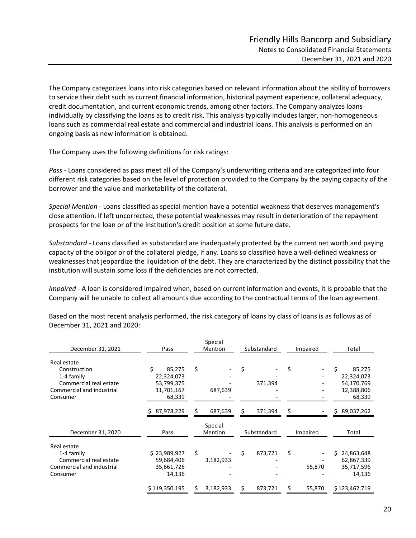The Company categorizes loans into risk categories based on relevant information about the ability of borrowers to service their debt such as current financial information, historical payment experience, collateral adequacy, credit documentation, and current economic trends, among other factors. The Company analyzes loans individually by classifying the loans as to credit risk. This analysis typically includes larger, non‐homogeneous loans such as commercial real estate and commercial and industrial loans. This analysis is performed on an ongoing basis as new information is obtained.

The Company uses the following definitions for risk ratings:

*Pass ‐* Loans considered as pass meet all of the Company's underwriting criteria and are categorized into four different risk categories based on the level of protection provided to the Company by the paying capacity of the borrower and the value and marketability of the collateral.

*Special Mention* ‐ Loans classified as special mention have a potential weakness that deserves management's close attention. If left uncorrected, these potential weaknesses may result in deterioration of the repayment prospects for the loan or of the institution's credit position at some future date.

*Substandard* ‐ Loans classified as substandard are inadequately protected by the current net worth and paying capacity of the obligor or of the collateral pledge, if any. Loans so classified have a well‐defined weakness or weaknesses that jeopardize the liquidation of the debt. They are characterized by the distinct possibility that the institution will sustain some loss if the deficiencies are not corrected.

*Impaired* ‐ A loan is considered impaired when, based on current information and events, it is probable that the Company will be unable to collect all amounts due according to the contractual terms of the loan agreement.

| December 31, 2021         | Pass          | Special<br>Mention |           | Substandard   | Impaired | Total            |
|---------------------------|---------------|--------------------|-----------|---------------|----------|------------------|
| Real estate               |               |                    |           |               |          |                  |
| Construction              | Ś.<br>85,275  | \$                 |           | \$            | \$       | Ś.<br>85,275     |
| 1-4 family                | 22,324,073    |                    |           |               |          | 22,324,073       |
| Commercial real estate    | 53,799,375    |                    |           | 371,394       |          | 54,170,769       |
| Commercial and industrial | 11,701,167    |                    | 687,639   |               |          | 12,388,806       |
| Consumer                  | 68,339        |                    |           |               |          | 68,339           |
|                           | 87,978,229    | S                  | 687,639   | \$<br>371,394 |          | 89,037,262       |
|                           |               |                    | Special   |               |          |                  |
| December 31, 2020         | Pass          |                    | Mention   | Substandard   | Impaired | Total            |
| Real estate               |               |                    |           |               |          |                  |
| 1-4 family                | \$23,989,927  | \$                 |           | \$<br>873,721 | \$       | 24,863,648<br>Ś. |
| Commercial real estate    | 59,684,406    |                    | 3,182,933 |               |          | 62,867,339       |
| Commercial and industrial | 35,661,726    |                    |           |               | 55,870   | 35,717,596       |
| Consumer                  | 14,136        |                    |           |               |          | 14,136           |
|                           | \$119,350,195 | s                  | 3,182,933 | \$<br>873,721 | 55,870   | \$123,462,719    |

Based on the most recent analysis performed, the risk category of loans by class of loans is as follows as of December 31, 2021 and 2020: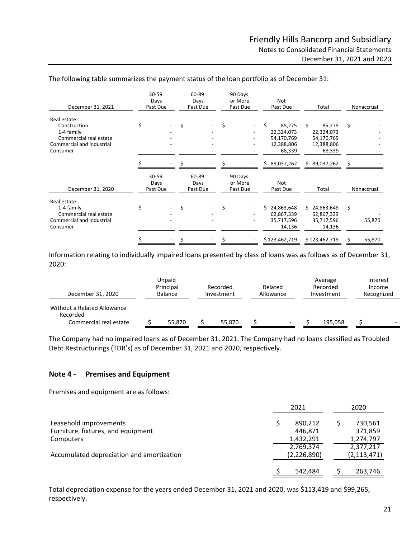| December 31, 2021                                                                                            |       | 30-59<br>Days<br>Past Due |    | 60-89<br>Days<br>Past Due |    | 90 Days<br>or More<br>Past Due | Not<br>Past Due                                                  | Total                                                            | Nonaccrual   |
|--------------------------------------------------------------------------------------------------------------|-------|---------------------------|----|---------------------------|----|--------------------------------|------------------------------------------------------------------|------------------------------------------------------------------|--------------|
| Real estate<br>Construction<br>1-4 family<br>Commercial real estate<br>Commercial and industrial<br>Consumer | \$    |                           | \$ |                           | \$ |                                | Ś.<br>85,275<br>22,324,073<br>54,170,769<br>12,388,806<br>68,339 | Ś.<br>85,275<br>22,324,073<br>54,170,769<br>12,388,806<br>68,339 | \$           |
|                                                                                                              |       |                           |    |                           |    |                                | \$<br>89,037,262                                                 | \$89,037,262                                                     | S            |
| December 31, 2020                                                                                            | 30-59 | Days<br>Past Due          |    | 60-89<br>Days<br>Past Due |    | 90 Days<br>or More<br>Past Due | <b>Not</b><br>Past Due                                           | Total                                                            | Nonaccrual   |
| Real estate<br>1-4 family<br>Commercial real estate<br>Commercial and industrial<br>Consumer                 | \$    |                           | \$ |                           | \$ |                                | 24,863,648<br>Ś.<br>62,867,339<br>35,717,596<br>14,136           | \$24,863,648<br>62,867,339<br>35,717,596<br>14,136               | \$<br>55,870 |
|                                                                                                              |       |                           |    |                           |    |                                | \$123,462,719                                                    | \$123,462,719                                                    | 55,870       |

#### The following table summarizes the payment status of the loan portfolio as of December 31:

Information relating to individually impaired loans presented by class of loans was as follows as of December 31, 2020:

| December 31, 2020                                                 | Unpaid<br>Principal<br>Balance |  | Related<br>Recorded<br>Allowance<br>Investment |  | Average<br>Recorded<br>Investment |  |         |                          | Interest<br>Income<br>Recognized |
|-------------------------------------------------------------------|--------------------------------|--|------------------------------------------------|--|-----------------------------------|--|---------|--------------------------|----------------------------------|
| Without a Related Allowance<br>Recorded<br>Commercial real estate | 55,870                         |  | 55,870                                         |  | $\overline{\phantom{0}}$          |  | 195.058 | $\overline{\phantom{0}}$ |                                  |

The Company had no impaired loans as of December 31, 2021. The Company had no loans classified as Troubled Debt Restructurings (TDR's) as of December 31, 2021 and 2020, respectively.

#### **Note 4 ‐ Premises and Equipment**

Premises and equipment are as follows:

|                                           | 2021 |               |  | 2020          |
|-------------------------------------------|------|---------------|--|---------------|
| Leasehold improvements                    |      | 890.212       |  | 730,561       |
| Furniture, fixtures, and equipment        |      | 446.871       |  | 371,859       |
| Computers                                 |      | 1,432,291     |  | 1,274,797     |
|                                           |      | 2,769,374     |  | 2,377,217     |
| Accumulated depreciation and amortization |      | (2, 226, 890) |  | (2, 113, 471) |
|                                           |      | 542,484       |  | 263,746       |

 Total depreciation expense for the years ended December 31, <sup>2021</sup> and 2020, was \$113,419 and \$99,265, respectively.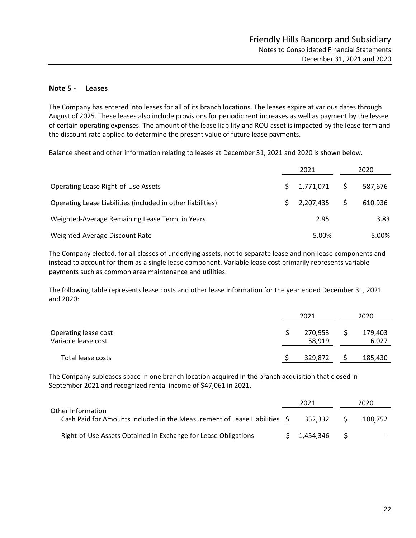#### **Note 5 ‐ Leases**

The Company has entered into leases for all of its branch locations. The leases expire at various dates through August of 2025. These leases also include provisions for periodic rent increases as well as payment by the lessee of certain operating expenses. The amount of the lease liability and ROU asset is impacted by the lease term and the discount rate applied to determine the present value of future lease payments.

Balance sheet and other information relating to leases at December 31, 2021 and 2020 is shown below.

|                                                             | 2021 |           | 2020 |         |
|-------------------------------------------------------------|------|-----------|------|---------|
| <b>Operating Lease Right-of-Use Assets</b>                  |      | 1,771,071 | S.   | 587,676 |
| Operating Lease Liabilities (included in other liabilities) |      | 2,207,435 |      | 610,936 |
| Weighted-Average Remaining Lease Term, in Years             |      | 2.95      |      | 3.83    |
| Weighted-Average Discount Rate                              |      | 5.00%     |      | 5.00%   |

The Company elected, for all classes of underlying assets, not to separate lease and non‐lease components and instead to account for them as a single lease component. Variable lease cost primarily represents variable payments such as common area maintenance and utilities.

The following table represents lease costs and other lease information for the year ended December 31, 2021 and 2020:

|                                             | 2021              | 2020 |                  |  |
|---------------------------------------------|-------------------|------|------------------|--|
| Operating lease cost<br>Variable lease cost | 270,953<br>58,919 |      | 179,403<br>6,027 |  |
| Total lease costs                           | 329,872           |      | 185,430          |  |

The Company subleases space in one branch location acquired in the branch acquisition that closed in September 2021 and recognized rental income of \$47,061 in 2021.

|                                                                                                | 2021         |     | 2020                     |
|------------------------------------------------------------------------------------------------|--------------|-----|--------------------------|
| Other Information<br>Cash Paid for Amounts Included in the Measurement of Lease Liabilities \$ | 352.332      |     | 188.752                  |
| Right-of-Use Assets Obtained in Exchange for Lease Obligations                                 | \$ 1,454,346 | S S | $\overline{\phantom{0}}$ |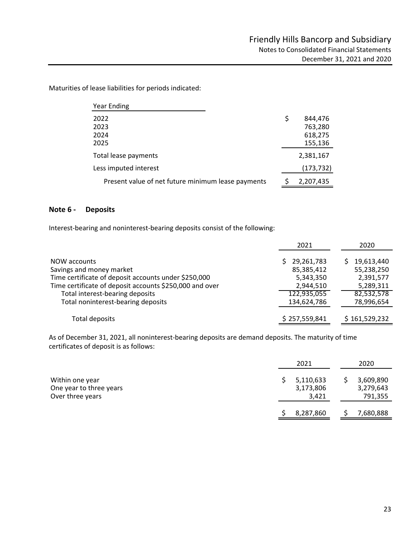Maturities of lease liabilities for periods indicated:

| <b>Year Ending</b>                                 |               |
|----------------------------------------------------|---------------|
| 2022                                               | \$<br>844,476 |
| 2023                                               | 763,280       |
| 2024                                               | 618,275       |
| 2025                                               | 155,136       |
| Total lease payments                               | 2,381,167     |
| Less imputed interest                              | (173, 732)    |
| Present value of net future minimum lease payments | 2,207,435     |

#### **Note 6 ‐ Deposits**

Interest-bearing and noninterest-bearing deposits consist of the following:

|                                                                                                  | 2021                                  | 2020                                  |
|--------------------------------------------------------------------------------------------------|---------------------------------------|---------------------------------------|
| NOW accounts<br>Savings and money market<br>Time certificate of deposit accounts under \$250,000 | 29,261,783<br>85,385,412<br>5,343,350 | 19,613,440<br>55,238,250<br>2,391,577 |
| Time certificate of deposit accounts \$250,000 and over                                          | 2,944,510                             | 5,289,311                             |
| Total interest-bearing deposits                                                                  | 122,935,055                           | 82,532,578                            |
| Total noninterest-bearing deposits                                                               | 134,624,786                           | 78,996,654                            |
| Total deposits                                                                                   | \$257,559,841                         | \$161,529,232                         |

As of December 31, 2021, all noninterest-bearing deposits are demand deposits. The maturity of time certificates of deposit is as follows:

|                                                                | 2021                            | 2020                              |  |
|----------------------------------------------------------------|---------------------------------|-----------------------------------|--|
| Within one year<br>One year to three years<br>Over three years | 5,110,633<br>3,173,806<br>3,421 | 3,609,890<br>3,279,643<br>791,355 |  |
|                                                                | 8,287,860                       | 7,680,888                         |  |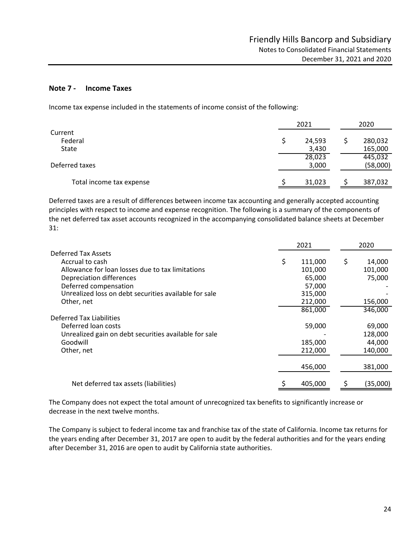#### **Note 7 ‐ Income Taxes**

Income tax expense included in the statements of income consist of the following:

|                          | 2021   |  |          |
|--------------------------|--------|--|----------|
| Current<br>Federal       | 24,593 |  | 280,032  |
| State                    | 3,430  |  | 165,000  |
|                          | 28,023 |  | 445,032  |
| Deferred taxes           | 3,000  |  | (58,000) |
| Total income tax expense | 31,023 |  | 387,032  |

 Deferred taxes are <sup>a</sup> result of differences between income tax accounting and generally accepted accounting principles with respect to income and expense recognition. The following is a summary of the components of the net deferred tax asset accounts recognized in the accompanying consolidated balance sheets at December 31:

|                                                       | 2021 |         | 2020         |  |
|-------------------------------------------------------|------|---------|--------------|--|
| Deferred Tax Assets                                   |      |         |              |  |
| Accrual to cash                                       | S    | 111,000 | \$<br>14,000 |  |
| Allowance for loan losses due to tax limitations      |      | 101,000 | 101,000      |  |
| Depreciation differences                              |      | 65,000  | 75,000       |  |
| Deferred compensation                                 |      | 57,000  |              |  |
| Unrealized loss on debt securities available for sale |      | 315,000 |              |  |
| Other, net                                            |      | 212,000 | 156,000      |  |
|                                                       |      | 861,000 | 346,000      |  |
| Deferred Tax Liabilities                              |      |         |              |  |
| Deferred loan costs                                   |      | 59,000  | 69,000       |  |
| Unrealized gain on debt securities available for sale |      |         | 128,000      |  |
| Goodwill                                              |      | 185,000 | 44,000       |  |
| Other, net                                            |      | 212,000 | 140,000      |  |
|                                                       |      |         |              |  |
|                                                       |      | 456,000 | 381,000      |  |
| Net deferred tax assets (liabilities)                 |      | 405,000 | (35,000)     |  |

The Company does not expect the total amount of unrecognized tax benefits to significantly increase or decrease in the next twelve months.

The Company is subject to federal income tax and franchise tax of the state of California. Income tax returns for the years ending after December 31, 2017 are open to audit by the federal authorities and for the years ending after December 31, 2016 are open to audit by California state authorities.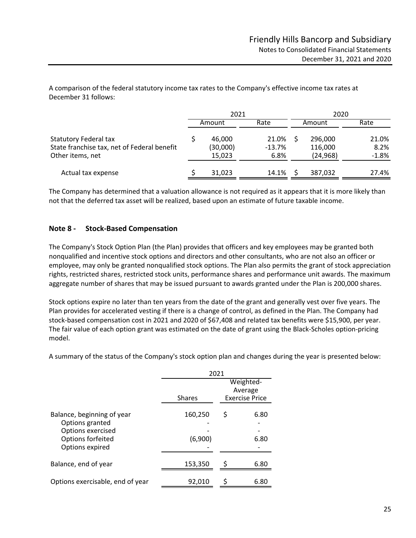A comparison of the federal statutory income tax rates to the Company's effective income tax rates at December 31 follows:

|                                                                                                 | 2021                         |                           | 2020 |                                 |                          |  |
|-------------------------------------------------------------------------------------------------|------------------------------|---------------------------|------|---------------------------------|--------------------------|--|
|                                                                                                 | Amount                       | Rate                      |      | Amount                          | Rate                     |  |
| <b>Statutory Federal tax</b><br>State franchise tax, net of Federal benefit<br>Other items, net | 46,000<br>(30,000)<br>15,023 | 21.0%<br>$-13.7%$<br>6.8% |      | 296,000<br>116,000<br>(24, 968) | 21.0%<br>8.2%<br>$-1.8%$ |  |
| Actual tax expense                                                                              | 31,023                       | 14.1%                     |      | 387,032                         | 27.4%                    |  |

The Company has determined that a valuation allowance is not required as it appears that it is more likely than not that the deferred tax asset will be realized, based upon an estimate of future taxable income.

#### **Note 8 ‐ Stock‐Based Compensation**

The Company's Stock Option Plan (the Plan) provides that officers and key employees may be granted both nonqualified and incentive stock options and directors and other consultants, who are not also an officer or employee, may only be granted nonqualified stock options. The Plan also permits the grant of stock appreciation rights, restricted shares, restricted stock units, performance shares and performance unit awards. The maximum aggregate number of shares that may be issued pursuant to awards granted under the Plan is 200,000 shares.

Stock options expire no later than ten years from the date of the grant and generally vest over five years. The Plan provides for accelerated vesting if there is a change of control, as defined in the Plan. The Company had stock‐based compensation cost in 2021 and 2020 of \$67,408 and related tax benefits were \$15,900, per year. The fair value of each option grant was estimated on the date of grant using the Black‐Scholes option‐pricing model.

A summary of the status of the Company's stock option plan and changes during the year is presented below:

|                                                                                                            | 2021               |                       |              |  |  |
|------------------------------------------------------------------------------------------------------------|--------------------|-----------------------|--------------|--|--|
|                                                                                                            |                    | Weighted-<br>Average  |              |  |  |
|                                                                                                            | <b>Shares</b>      | <b>Exercise Price</b> |              |  |  |
| Balance, beginning of year<br>Options granted<br>Options exercised<br>Options forfeited<br>Options expired | 160,250<br>(6,900) | Ś                     | 6.80<br>6.80 |  |  |
| Balance, end of year                                                                                       | 153,350            | S                     | 6.80         |  |  |
| Options exercisable, end of year                                                                           | 92,010             |                       | 6.80         |  |  |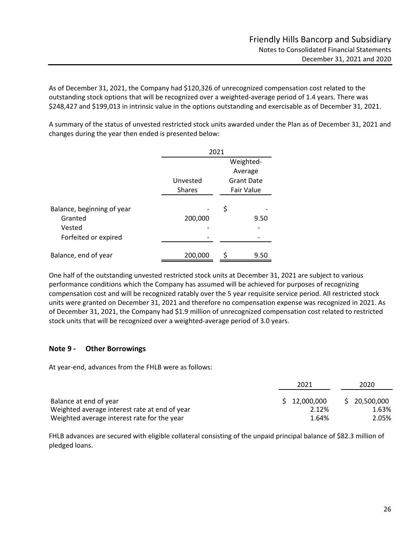As of December 31, 2021, the Company had \$120,326 of unrecognized compensation cost related to the outstanding stock options that will be recognized over a weighted‐average period of 1.4 years. There was \$248,427 and \$199,013 in intrinsic value in the options outstanding and exercisable as of December 31, 2021.

A summary of the status of unvested restricted stock units awarded under the Plan as of December 31, 2021 and changes during the year then ended is presented below:

|                                                                         | 2021          |           |                   |  |  |
|-------------------------------------------------------------------------|---------------|-----------|-------------------|--|--|
|                                                                         |               | Weighted- |                   |  |  |
|                                                                         |               |           | Average           |  |  |
|                                                                         | Unvested      |           | <b>Grant Date</b> |  |  |
|                                                                         | <b>Shares</b> |           | <b>Fair Value</b> |  |  |
| Balance, beginning of year<br>Granted<br>Vested<br>Forfeited or expired | 200,000       | \$        | 9.50              |  |  |
| Balance, end of year                                                    | 200,000       |           | 9.50              |  |  |

One half of the outstanding unvested restricted stock units at December 31, 2021 are subject to various performance conditions which the Company has assumed will be achieved for purposes of recognizing compensation cost and will be recognized ratably over the 5 year requisite service period. All restricted stock units were granted on December 31, 2021 and therefore no compensation expense was recognized in 2021. As of December 31, 2021, the Company had \$1.9 million of unrecognized compensation cost related to restricted stock units that will be recognized over a weighted‐average period of 3.0 years.

#### **Note 9 ‐ Other Borrowings**

At year‐end, advances from the FHLB were as follows:

|                                               | 2021         | 2020         |
|-----------------------------------------------|--------------|--------------|
| Balance at end of year                        | \$12,000,000 | \$20,500,000 |
| Weighted average interest rate at end of year | 2.12%        | 1.63%        |
| Weighted average interest rate for the year   | 1.64%        | 2.05%        |

FHLB advances are secured with eligible collateral consisting of the unpaid principal balance of \$82.3 million of pledged loans.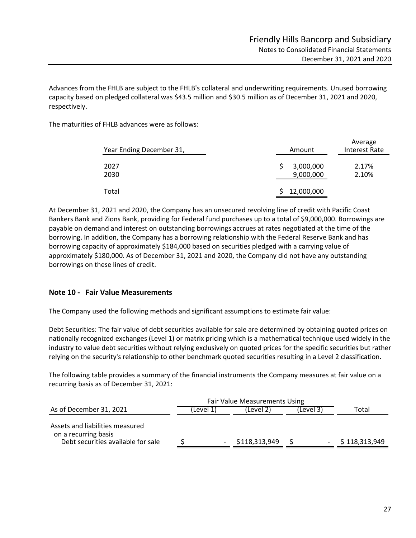Average

Advances from the FHLB are subject to the FHLB's collateral and underwriting requirements. Unused borrowing capacity based on pledged collateral was \$43.5 million and \$30.5 million as of December 31, 2021 and 2020, respectively.

The maturities of FHLB advances were as follows:

| Year Ending December 31, | Amount                 | <b>AVEL ARE</b><br><b>Interest Rate</b> |  |  |
|--------------------------|------------------------|-----------------------------------------|--|--|
| 2027<br>2030             | 3,000,000<br>9,000,000 | 2.17%<br>2.10%                          |  |  |
| Total                    | 12,000,000             |                                         |  |  |

At December 31, 2021 and 2020, the Company has an unsecured revolving line of credit with Pacific Coast Bankers Bank and Zions Bank, providing for Federal fund purchases up to a total of \$9,000,000. Borrowings are payable on demand and interest on outstanding borrowings accrues at rates negotiated at the time of the borrowing. In addition, the Company has a borrowing relationship with the Federal Reserve Bank and has borrowing capacity of approximately \$184,000 based on securities pledged with a carrying value of approximately \$180,000. As of December 31, 2021 and 2020, the Company did not have any outstanding borrowings on these lines of credit.

#### **Note 10 ‐ Fair Value Measurements**

The Company used the following methods and significant assumptions to estimate fair value:

Debt Securities: The fair value of debt securities available for sale are determined by obtaining quoted prices on nationally recognized exchanges (Level 1) or matrix pricing which is a mathematical technique used widely in the industry to value debt securities without relying exclusively on quoted prices for the specific securities but rather relying on the security's relationship to other benchmark quoted securities resulting in a Level 2 classification.

The following table provides a summary of the financial instruments the Company measures at fair value on a recurring basis as of December 31, 2021:

| As of December 31, 2021                                                                       | (Level 1) |  | (Level 2)     | (Level 3) |  | Total         |  |
|-----------------------------------------------------------------------------------------------|-----------|--|---------------|-----------|--|---------------|--|
| Assets and liabilities measured<br>on a recurring basis<br>Debt securities available for sale |           |  | \$118,313,949 |           |  | \$118,313,949 |  |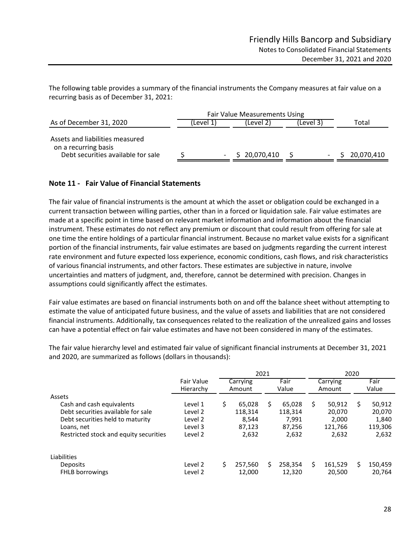The following table provides a summary of the financial instruments the Company measures at fair value on a recurring basis as of December 31, 2021:

|                                                                                               | <b>Fair Value Measurements Using</b> |  |              |           |  |  |            |
|-----------------------------------------------------------------------------------------------|--------------------------------------|--|--------------|-----------|--|--|------------|
| As of December 31, 2020                                                                       | (Level 1                             |  | (Level 2)    | (Level 3) |  |  | Total      |
| Assets and liabilities measured<br>on a recurring basis<br>Debt securities available for sale |                                      |  | \$20,070,410 |           |  |  | 20,070,410 |

#### **Note 11 ‐ Fair Value of Financial Statements**

The fair value of financial instruments is the amount at which the asset or obligation could be exchanged in a current transaction between willing parties, other than in a forced or liquidation sale. Fair value estimates are made at a specific point in time based on relevant market information and information about the financial instrument. These estimates do not reflect any premium or discount that could result from offering for sale at one time the entire holdings of a particular financial instrument. Because no market value exists for a significant portion of the financial instruments, fair value estimates are based on judgments regarding the current interest rate environment and future expected loss experience, economic conditions, cash flows, and risk characteristics of various financial instruments, and other factors. These estimates are subjective in nature, involve uncertainties and matters of judgment, and, therefore, cannot be determined with precision. Changes in assumptions could significantly affect the estimates.

Fair value estimates are based on financial instruments both on and off the balance sheet without attempting to estimate the value of anticipated future business, and the value of assets and liabilities that are not considered financial instruments. Additionally, tax consequences related to the realization of the unrealized gains and losses can have a potential effect on fair value estimates and have not been considered in many of the estimates.

Fair Value Carrying Fair Carrying Fair Hierarchy Amount Value Amount Value Assets Cash and cash equivalents Level 1  $\begin{array}{cccc} 5 & 65,028 & 65,028 & 65,028 & 65,028 \end{array}$  50,912  $\begin{array}{cccc} 5 & 50,912 & 65,912 & 65,912 \end{array}$ Debt securities available for sale Level 2 118,314 118,314 20,070 20,070 Debt securities held to maturity Level 2 8,544 7,991 2,000 1,840<br>
Level 3 87,123 87,256 121,766 119.306 Loans, net Level 3 87,123 87,256 121,766 119,306 Restricted stock and equity securities Level 2 2,632 2,632 2,632 2,632 Liabilities Deposits Level 2 257,560 \$ \$ 258,354 \$ 161,529 \$ 150,459 FHLB borrowings The Level 2 12,000 12,320 20,500 20,764 2021 2020

The fair value hierarchy level and estimated fair value of significant financial instruments at December 31, 2021 and 2020, are summarized as follows (dollars in thousands):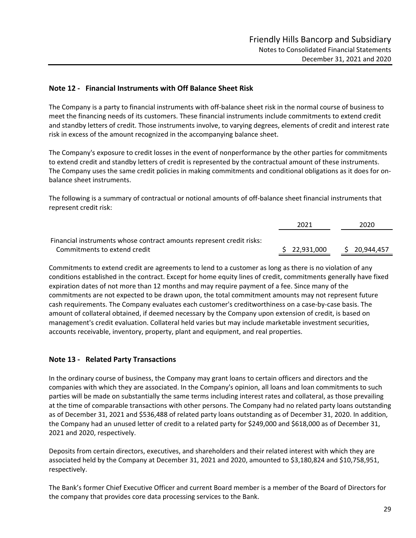#### **Note 12 ‐ Financial Instruments with Off Balance Sheet Risk**

The Company is a party to financial instruments with off‐balance sheet risk in the normal course of business to meet the financing needs of its customers. These financial instruments include commitments to extend credit and standby letters of credit. Those instruments involve, to varying degrees, elements of credit and interest rate risk in excess of the amount recognized in the accompanying balance sheet.

The Company's exposure to credit losses in the event of nonperformance by the other parties for commitments to extend credit and standby letters of credit is represented by the contractual amount of these instruments. The Company uses the same credit policies in making commitments and conditional obligations as it does for on‐ balance sheet instruments.

The following is a summary of contractual or notional amounts of off‐balance sheet financial instruments that represent credit risk:

|                                                                      | 2021         | 2020       |
|----------------------------------------------------------------------|--------------|------------|
| Financial instruments whose contract amounts represent credit risks: |              |            |
| Commitments to extend credit                                         | \$22.931.000 | 20.944.457 |

 Commitments to extend credit are agreements to lend to <sup>a</sup> customer as long as there is no violation of any conditions established in the contract. Except for home equity lines of credit, commitments generally have fixed expiration dates of not more than 12 months and may require payment of a fee. Since many of the commitments are not expected to be drawn upon, the total commitment amounts may not represent future cash requirements. The Company evaluates each customer's creditworthiness on a case‐by‐case basis. The amount of collateral obtained, if deemed necessary by the Company upon extension of credit, is based on management's credit evaluation. Collateral held varies but may include marketable investment securities, accounts receivable, inventory, property, plant and equipment, and real properties.

#### **Note 13 ‐ Related Party Transactions**

In the ordinary course of business, the Company may grant loans to certain officers and directors and the companies with which they are associated. In the Company's opinion, all loans and loan commitments to such parties will be made on substantially the same terms including interest rates and collateral, as those prevailing at the time of comparable transactions with other persons. The Company had no related party loans outstanding as of December 31, 2021 and \$536,488 of related party loans outstanding as of December 31, 2020. In addition, the Company had an unused letter of credit to a related party for \$249,000 and \$618,000 as of December 31, 2021 and 2020, respectively.

Deposits from certain directors, executives, and shareholders and their related interest with which they are associated held by the Company at December 31, 2021 and 2020, amounted to \$3,180,824 and \$10,758,951, respectively.

The Bank's former Chief Executive Officer and current Board member is a member of the Board of Directors for the company that provides core data processing services to the Bank.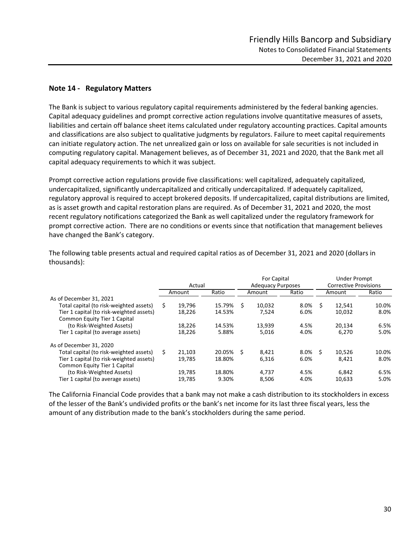#### **Note 14 ‐ Regulatory Matters**

The Bank is subject to various regulatory capital requirements administered by the federal banking agencies. Capital adequacy guidelines and prompt corrective action regulations involve quantitative measures of assets, liabilities and certain off balance sheet items calculated under regulatory accounting practices. Capital amounts and classifications are also subject to qualitative judgments by regulators. Failure to meet capital requirements can initiate regulatory action. The net unrealized gain or loss on available for sale securities is not included in computing regulatory capital. Management believes, as of December 31, 2021 and 2020, that the Bank met all capital adequacy requirements to which it was subject.

Prompt corrective action regulations provide five classifications: well capitalized, adequately capitalized, undercapitalized, significantly undercapitalized and critically undercapitalized. If adequately capitalized, regulatory approval is required to accept brokered deposits. If undercapitalized, capital distributions are limited, as is asset growth and capital restoration plans are required. As of December 31, 2021 and 2020, the most recent regulatory notifications categorized the Bank as well capitalized under the regulatory framework for prompt corrective action. There are no conditions or events since that notification that management believes have changed the Bank's category.

|                                          |    |        |           |    | For Capital              |       |    | <b>Under Prompt</b>          |       |  |
|------------------------------------------|----|--------|-----------|----|--------------------------|-------|----|------------------------------|-------|--|
|                                          |    | Actual |           |    | <b>Adequacy Purposes</b> |       |    | <b>Corrective Provisions</b> |       |  |
|                                          |    | Amount | Ratio     |    | Amount                   | Ratio |    | Amount                       | Ratio |  |
| As of December 31, 2021                  |    |        |           |    |                          |       |    |                              |       |  |
| Total capital (to risk-weighted assets)  | S. | 19.796 | 15.79%    | Ŝ. | 10.032                   | 8.0%  | S  | 12.541                       | 10.0% |  |
| Tier 1 capital (to risk-weighted assets) |    | 18,226 | 14.53%    |    | 7,524                    | 6.0%  |    | 10,032                       | 8.0%  |  |
| Common Equity Tier 1 Capital             |    |        |           |    |                          |       |    |                              |       |  |
| (to Risk-Weighted Assets)                |    | 18,226 | 14.53%    |    | 13.939                   | 4.5%  |    | 20.134                       | 6.5%  |  |
| Tier 1 capital (to average assets)       |    | 18,226 | 5.88%     |    | 5,016                    | 4.0%  |    | 6.270                        | 5.0%  |  |
| As of December 31, 2020                  |    |        |           |    |                          |       |    |                              |       |  |
| Total capital (to risk-weighted assets)  | S  | 21.103 | 20.05% \$ |    | 8.421                    | 8.0%  | -S | 10.526                       | 10.0% |  |
| Tier 1 capital (to risk-weighted assets) |    | 19.785 | 18.80%    |    | 6.316                    | 6.0%  |    | 8.421                        | 8.0%  |  |
| Common Equity Tier 1 Capital             |    |        |           |    |                          |       |    |                              |       |  |
| (to Risk-Weighted Assets)                |    | 19,785 | 18.80%    |    | 4,737                    | 4.5%  |    | 6,842                        | 6.5%  |  |
| Tier 1 capital (to average assets)       |    | 19.785 | 9.30%     |    | 8.506                    | 4.0%  |    | 10.633                       | 5.0%  |  |

The following table presents actual and required capital ratios as of December 31, 2021 and 2020 (dollars in thousands):

The California Financial Code provides that a bank may not make a cash distribution to its stockholders in excess of the lesser of the Bank's undivided profits or the bank's net income for its last three fiscal years, less the amount of any distribution made to the bank's stockholders during the same period.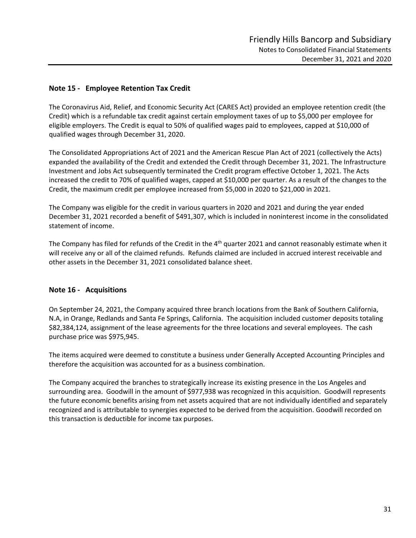#### **Note 15 ‐ Employee Retention Tax Credit**

The Coronavirus Aid, Relief, and Economic Security Act (CARES Act) provided an employee retention credit (the Credit) which is a refundable tax credit against certain employment taxes of up to \$5,000 per employee for eligible employers. The Credit is equal to 50% of qualified wages paid to employees, capped at \$10,000 of qualified wages through December 31, 2020.

The Consolidated Appropriations Act of 2021 and the American Rescue Plan Act of 2021 (collectively the Acts) expanded the availability of the Credit and extended the Credit through December 31, 2021. The Infrastructure Investment and Jobs Act subsequently terminated the Credit program effective October 1, 2021. The Acts increased the credit to 70% of qualified wages, capped at \$10,000 per quarter. As a result of the changes to the Credit, the maximum credit per employee increased from \$5,000 in 2020 to \$21,000 in 2021.

The Company was eligible for the credit in various quarters in 2020 and 2021 and during the year ended December 31, 2021 recorded a benefit of \$491,307, which is included in noninterest income in the consolidated statement of income.

The Company has filed for refunds of the Credit in the 4<sup>th</sup> quarter 2021 and cannot reasonably estimate when it will receive any or all of the claimed refunds. Refunds claimed are included in accrued interest receivable and other assets in the December 31, 2021 consolidated balance sheet.

#### **Note 16 ‐ Acquisitions**

On September 24, 2021, the Company acquired three branch locations from the Bank of Southern California, N.A, in Orange, Redlands and Santa Fe Springs, California. The acquisition included customer deposits totaling \$82,384,124, assignment of the lease agreements for the three locations and several employees. The cash purchase price was \$975,945.

The items acquired were deemed to constitute a business under Generally Accepted Accounting Principles and therefore the acquisition was accounted for as a business combination.

The Company acquired the branches to strategically increase its existing presence in the Los Angeles and surrounding area. Goodwill in the amount of \$977,938 was recognized in this acquisition. Goodwill represents the future economic benefits arising from net assets acquired that are not individually identified and separately recognized and is attributable to synergies expected to be derived from the acquisition. Goodwill recorded on this transaction is deductible for income tax purposes.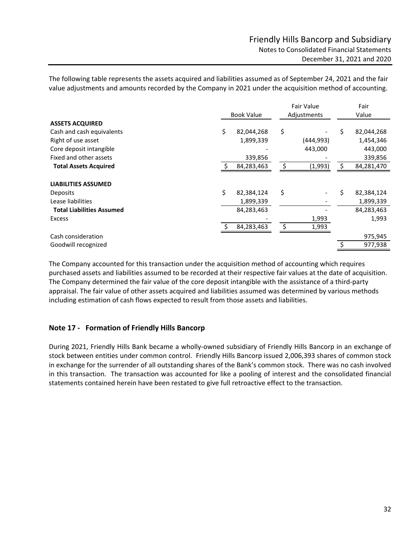The following table represents the assets acquired and liabilities assumed as of September 24, 2021 and the fair value adjustments and amounts recorded by the Company in 2021 under the acquisition method of accounting.

| <b>Book Value</b><br>Value<br>Adjustments<br><b>ASSETS ACQUIRED</b><br>\$<br>\$<br>\$<br>82,044,268<br>Cash and cash equivalents<br>82,044,268<br>Right of use asset<br>(444,993)<br>1,899,339<br>1,454,346<br>Core deposit intangible<br>443,000<br>443,000<br>Fixed and other assets<br>339,856<br>339,856<br>(1,993)<br>84,283,463<br>84,281,470<br><b>Total Assets Acquired</b><br>Ś<br><b>LIABILITIES ASSUMED</b><br>\$<br>\$<br>\$<br>82,384,124<br>82,384,124<br>Deposits<br>Lease liabilities<br>1,899,339<br>1,899,339<br><b>Total Liabilities Assumed</b><br>84,283,463<br>84,283,463<br>1,993<br>1,993<br><b>Excess</b><br>Ś<br>$\zeta$<br>84,283,463<br>1,993<br>Cash consideration<br>975,945<br>977,938<br>Goodwill recognized |  |  | <b>Fair Value</b> | Fair |  |
|----------------------------------------------------------------------------------------------------------------------------------------------------------------------------------------------------------------------------------------------------------------------------------------------------------------------------------------------------------------------------------------------------------------------------------------------------------------------------------------------------------------------------------------------------------------------------------------------------------------------------------------------------------------------------------------------------------------------------------------------|--|--|-------------------|------|--|
|                                                                                                                                                                                                                                                                                                                                                                                                                                                                                                                                                                                                                                                                                                                                              |  |  |                   |      |  |
|                                                                                                                                                                                                                                                                                                                                                                                                                                                                                                                                                                                                                                                                                                                                              |  |  |                   |      |  |
|                                                                                                                                                                                                                                                                                                                                                                                                                                                                                                                                                                                                                                                                                                                                              |  |  |                   |      |  |
|                                                                                                                                                                                                                                                                                                                                                                                                                                                                                                                                                                                                                                                                                                                                              |  |  |                   |      |  |
|                                                                                                                                                                                                                                                                                                                                                                                                                                                                                                                                                                                                                                                                                                                                              |  |  |                   |      |  |
|                                                                                                                                                                                                                                                                                                                                                                                                                                                                                                                                                                                                                                                                                                                                              |  |  |                   |      |  |
|                                                                                                                                                                                                                                                                                                                                                                                                                                                                                                                                                                                                                                                                                                                                              |  |  |                   |      |  |
|                                                                                                                                                                                                                                                                                                                                                                                                                                                                                                                                                                                                                                                                                                                                              |  |  |                   |      |  |
|                                                                                                                                                                                                                                                                                                                                                                                                                                                                                                                                                                                                                                                                                                                                              |  |  |                   |      |  |
|                                                                                                                                                                                                                                                                                                                                                                                                                                                                                                                                                                                                                                                                                                                                              |  |  |                   |      |  |
|                                                                                                                                                                                                                                                                                                                                                                                                                                                                                                                                                                                                                                                                                                                                              |  |  |                   |      |  |
|                                                                                                                                                                                                                                                                                                                                                                                                                                                                                                                                                                                                                                                                                                                                              |  |  |                   |      |  |
|                                                                                                                                                                                                                                                                                                                                                                                                                                                                                                                                                                                                                                                                                                                                              |  |  |                   |      |  |
|                                                                                                                                                                                                                                                                                                                                                                                                                                                                                                                                                                                                                                                                                                                                              |  |  |                   |      |  |
|                                                                                                                                                                                                                                                                                                                                                                                                                                                                                                                                                                                                                                                                                                                                              |  |  |                   |      |  |
|                                                                                                                                                                                                                                                                                                                                                                                                                                                                                                                                                                                                                                                                                                                                              |  |  |                   |      |  |

The Company accounted for this transaction under the acquisition method of accounting which requires purchased assets and liabilities assumed to be recorded at their respective fair values at the date of acquisition. The Company determined the fair value of the core deposit intangible with the assistance of a third-party appraisal. The fair value of other assets acquired and liabilities assumed was determined by various methods including estimation of cash flows expected to result from those assets and liabilities.

#### **Note 17 ‐ Formation of Friendly Hills Bancorp**

During 2021, Friendly Hills Bank became a wholly‐owned subsidiary of Friendly Hills Bancorp in an exchange of stock between entities under common control. Friendly Hills Bancorp issued 2,006,393 shares of common stock in exchange for the surrender of all outstanding shares of the Bank's common stock. There was no cash involved in this transaction. The transaction was accounted for like a pooling of interest and the consolidated financial statements contained herein have been restated to give full retroactive effect to the transaction.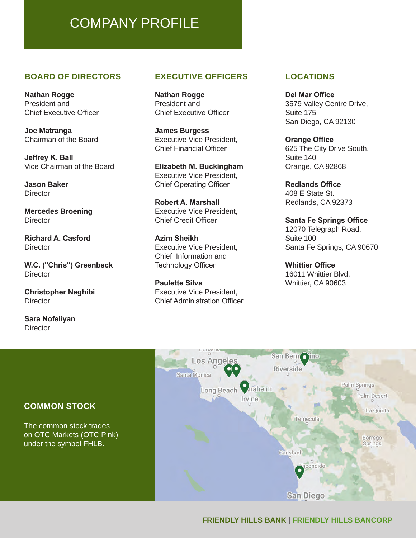# COMPANY PROFILE

#### **BOARD OF DIRECTORS**

**Nathan Rogge** President and Chief Executive Officer

**Joe Matranga** Chairman of the Board

**Jeffrey K. Ball** Vice Chairman of the Board

**Jason Baker Director** 

**Mercedes Broening Director** 

**Richard A. Casford Director** 

**W.C. ("Chris") Greenbeck Director** 

**Christopher Naghibi Director** 

**Sara Nofeliyan Director** 

# **EXECUTIVE OFFICERS**

**Nathan Rogge** President and Chief Executive Officer

**James Burgess** Executive Vice President, Chief Financial Officer

**Elizabeth M. Buckingham** Executive Vice President, Chief Operating Officer

**Robert A. Marshall** Executive Vice President, Chief Credit Officer

**Azim Sheikh** Executive Vice President, Chief Information and Technology Officer

**Paulette Silva** Executive Vice President, Chief Administration Officer

# **LOCATIONS**

**Del Mar Office** 3579 Valley Centre Drive, Suite 175 San Diego, CA 92130

**Orange Office** 625 The City Drive South, Suite 140 Orange, CA 92868

**Redlands Office** 408 E State St. Redlands, CA 92373

**Santa Fe Springs Office** 12070 Telegraph Road, Suite 100 Santa Fe Springs, CA 90670

**Whittier Office** 16011 Whittier Blvd. Whittier, CA 90603

### Los Angeles Riverside Santa Monica **O** naheim Palm Springs Long Beach Palm Desert Irvine La Quinta Temecula Borrego **Springs** Carlsbad condido San Diego

San Bern lino

# **COMMON STOCK**

The common stock trades on OTC Markets (OTC Pink) under the symbol FHLB.

# **FRIENDLY HILLS BANK | FRIENDLY HILLS BANCORP**